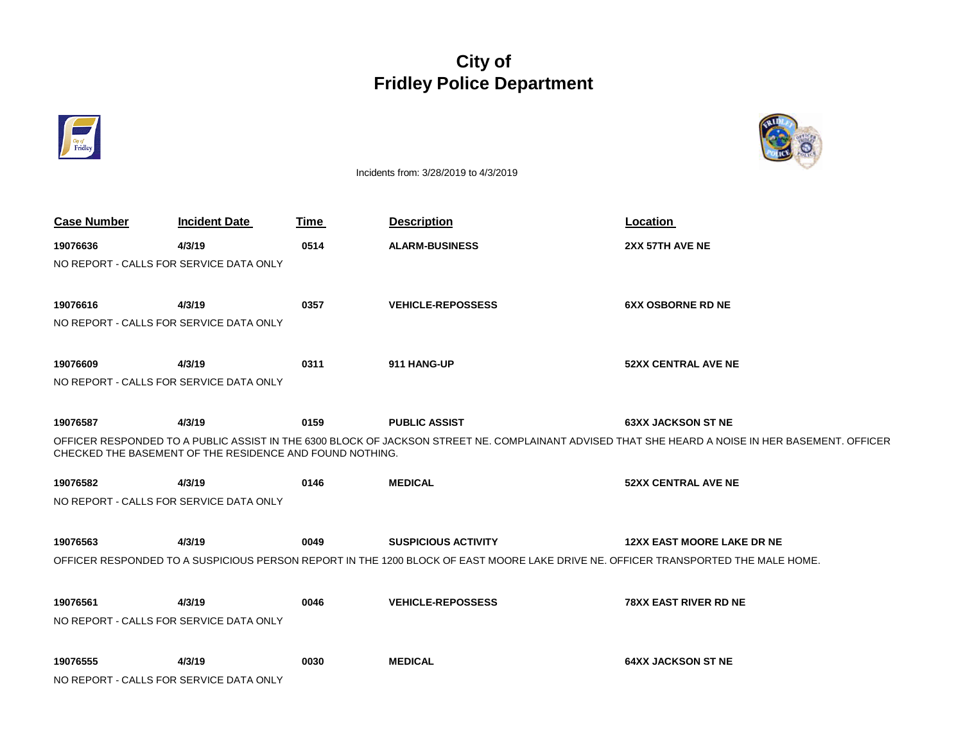## **City of Fridley Police Department**



Incidents from: 3/28/2019 to 4/3/2019

| <b>Case Number</b>                                       | <b>Incident Date</b>                    | Time | <b>Description</b>                                                                                                                | Location                                                                                                                                         |  |  |
|----------------------------------------------------------|-----------------------------------------|------|-----------------------------------------------------------------------------------------------------------------------------------|--------------------------------------------------------------------------------------------------------------------------------------------------|--|--|
| 19076636                                                 | 4/3/19                                  | 0514 | <b>ALARM-BUSINESS</b>                                                                                                             | 2XX 57TH AVE NE                                                                                                                                  |  |  |
|                                                          | NO REPORT - CALLS FOR SERVICE DATA ONLY |      |                                                                                                                                   |                                                                                                                                                  |  |  |
|                                                          |                                         |      |                                                                                                                                   |                                                                                                                                                  |  |  |
| 19076616                                                 | 4/3/19                                  | 0357 | <b>VEHICLE-REPOSSESS</b>                                                                                                          | <b>6XX OSBORNE RD NE</b>                                                                                                                         |  |  |
| NO REPORT - CALLS FOR SERVICE DATA ONLY                  |                                         |      |                                                                                                                                   |                                                                                                                                                  |  |  |
|                                                          |                                         |      |                                                                                                                                   |                                                                                                                                                  |  |  |
| 19076609                                                 | 4/3/19                                  | 0311 | 911 HANG-UP                                                                                                                       | <b>52XX CENTRAL AVE NE</b>                                                                                                                       |  |  |
| NO REPORT - CALLS FOR SERVICE DATA ONLY                  |                                         |      |                                                                                                                                   |                                                                                                                                                  |  |  |
|                                                          |                                         |      |                                                                                                                                   |                                                                                                                                                  |  |  |
| 19076587                                                 | 4/3/19                                  | 0159 | <b>PUBLIC ASSIST</b>                                                                                                              | <b>63XX JACKSON ST NE</b>                                                                                                                        |  |  |
| CHECKED THE BASEMENT OF THE RESIDENCE AND FOUND NOTHING. |                                         |      |                                                                                                                                   | OFFICER RESPONDED TO A PUBLIC ASSIST IN THE 6300 BLOCK OF JACKSON STREET NE. COMPLAINANT ADVISED THAT SHE HEARD A NOISE IN HER BASEMENT. OFFICER |  |  |
| 19076582                                                 | 4/3/19                                  | 0146 | <b>MEDICAL</b>                                                                                                                    | <b>52XX CENTRAL AVE NE</b>                                                                                                                       |  |  |
| NO REPORT - CALLS FOR SERVICE DATA ONLY                  |                                         |      |                                                                                                                                   |                                                                                                                                                  |  |  |
|                                                          |                                         |      |                                                                                                                                   |                                                                                                                                                  |  |  |
| 19076563                                                 | 4/3/19                                  | 0049 | <b>SUSPICIOUS ACTIVITY</b>                                                                                                        | <b>12XX EAST MOORE LAKE DR NE</b>                                                                                                                |  |  |
|                                                          |                                         |      | OFFICER RESPONDED TO A SUSPICIOUS PERSON REPORT IN THE 1200 BLOCK OF EAST MOORE LAKE DRIVE NE. OFFICER TRANSPORTED THE MALE HOME. |                                                                                                                                                  |  |  |
|                                                          |                                         |      |                                                                                                                                   |                                                                                                                                                  |  |  |
| 19076561                                                 | 4/3/19                                  | 0046 | <b>VEHICLE-REPOSSESS</b>                                                                                                          | <b>78XX EAST RIVER RD NE</b>                                                                                                                     |  |  |
|                                                          | NO REPORT - CALLS FOR SERVICE DATA ONLY |      |                                                                                                                                   |                                                                                                                                                  |  |  |
|                                                          |                                         |      |                                                                                                                                   |                                                                                                                                                  |  |  |
| 19076555                                                 | 4/3/19                                  | 0030 | <b>MEDICAL</b>                                                                                                                    | <b>64XX JACKSON ST NE</b>                                                                                                                        |  |  |
| NO REPORT - CALLS FOR SERVICE DATA ONLY                  |                                         |      |                                                                                                                                   |                                                                                                                                                  |  |  |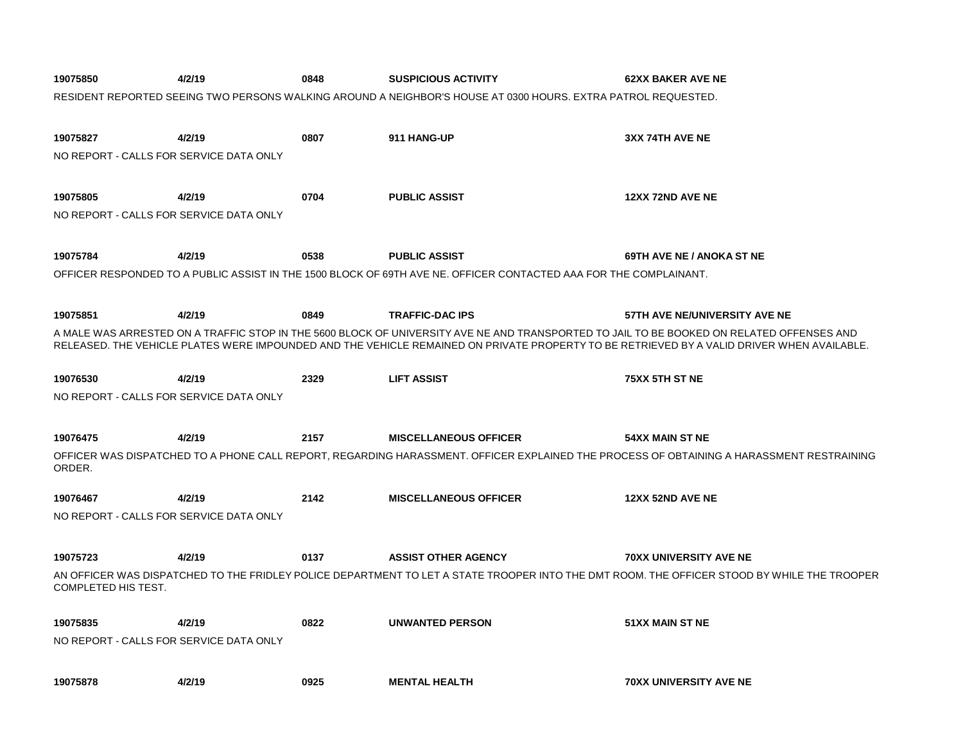| 19075850                                | 4/2/19 | 0848 | <b>SUSPICIOUS ACTIVITY</b>                                                                                        | <b>62XX BAKER AVE NE</b>                                                                                                                    |
|-----------------------------------------|--------|------|-------------------------------------------------------------------------------------------------------------------|---------------------------------------------------------------------------------------------------------------------------------------------|
|                                         |        |      | RESIDENT REPORTED SEEING TWO PERSONS WALKING AROUND A NEIGHBOR'S HOUSE AT 0300 HOURS. EXTRA PATROL REQUESTED.     |                                                                                                                                             |
|                                         |        |      |                                                                                                                   |                                                                                                                                             |
| 19075827                                | 4/2/19 | 0807 | 911 HANG-UP                                                                                                       | 3XX 74TH AVE NE                                                                                                                             |
| NO REPORT - CALLS FOR SERVICE DATA ONLY |        |      |                                                                                                                   |                                                                                                                                             |
|                                         |        |      |                                                                                                                   |                                                                                                                                             |
| 19075805                                | 4/2/19 | 0704 | <b>PUBLIC ASSIST</b>                                                                                              | <b>12XX 72ND AVE NE</b>                                                                                                                     |
| NO REPORT - CALLS FOR SERVICE DATA ONLY |        |      |                                                                                                                   |                                                                                                                                             |
|                                         |        |      |                                                                                                                   |                                                                                                                                             |
| 19075784                                | 4/2/19 | 0538 | <b>PUBLIC ASSIST</b>                                                                                              | 69TH AVE NE / ANOKA ST NE                                                                                                                   |
|                                         |        |      | OFFICER RESPONDED TO A PUBLIC ASSIST IN THE 1500 BLOCK OF 69TH AVE NE. OFFICER CONTACTED AAA FOR THE COMPLAINANT. |                                                                                                                                             |
|                                         |        |      |                                                                                                                   |                                                                                                                                             |
| 19075851                                | 4/2/19 | 0849 | <b>TRAFFIC-DAC IPS</b>                                                                                            | 57TH AVE NE/UNIVERSITY AVE NE                                                                                                               |
|                                         |        |      |                                                                                                                   | A MALE WAS ARRESTED ON A TRAFFIC STOP IN THE 5600 BLOCK OF UNIVERSITY AVE NE AND TRANSPORTED TO JAIL TO BE BOOKED ON RELATED OFFENSES AND   |
|                                         |        |      |                                                                                                                   | RELEASED. THE VEHICLE PLATES WERE IMPOUNDED AND THE VEHICLE REMAINED ON PRIVATE PROPERTY TO BE RETRIEVED BY A VALID DRIVER WHEN AVAILABLE.  |
|                                         |        |      |                                                                                                                   |                                                                                                                                             |
| 19076530                                | 4/2/19 | 2329 | <b>LIFT ASSIST</b>                                                                                                | 75XX 5TH ST NE                                                                                                                              |
| NO REPORT - CALLS FOR SERVICE DATA ONLY |        |      |                                                                                                                   |                                                                                                                                             |
|                                         |        |      |                                                                                                                   |                                                                                                                                             |
| 19076475                                | 4/2/19 | 2157 | <b>MISCELLANEOUS OFFICER</b>                                                                                      | 54XX MAIN ST NE                                                                                                                             |
| ORDER.                                  |        |      |                                                                                                                   | OFFICER WAS DISPATCHED TO A PHONE CALL REPORT, REGARDING HARASSMENT. OFFICER EXPLAINED THE PROCESS OF OBTAINING A HARASSMENT RESTRAINING    |
| 19076467                                | 4/2/19 | 2142 | <b>MISCELLANEOUS OFFICER</b>                                                                                      | 12XX 52ND AVE NE                                                                                                                            |
| NO REPORT - CALLS FOR SERVICE DATA ONLY |        |      |                                                                                                                   |                                                                                                                                             |
|                                         |        |      |                                                                                                                   |                                                                                                                                             |
| 19075723                                | 4/2/19 | 0137 | <b>ASSIST OTHER AGENCY</b>                                                                                        | <b>70XX UNIVERSITY AVE NE</b>                                                                                                               |
|                                         |        |      |                                                                                                                   | AN OFFICER WAS DISPATCHED TO THE FRIDLEY POLICE DEPARTMENT TO LET A STATE TROOPER INTO THE DMT ROOM. THE OFFICER STOOD BY WHILE THE TROOPER |
| COMPLETED HIS TEST.                     |        |      |                                                                                                                   |                                                                                                                                             |
|                                         |        |      |                                                                                                                   |                                                                                                                                             |
| 19075835                                | 4/2/19 | 0822 | <b>UNWANTED PERSON</b>                                                                                            | 51XX MAIN ST NE                                                                                                                             |
| NO REPORT - CALLS FOR SERVICE DATA ONLY |        |      |                                                                                                                   |                                                                                                                                             |
|                                         |        |      |                                                                                                                   |                                                                                                                                             |
| 19075878                                | 4/2/19 | 0925 | <b>MENTAL HEALTH</b>                                                                                              | <b>70XX UNIVERSITY AVE NE</b>                                                                                                               |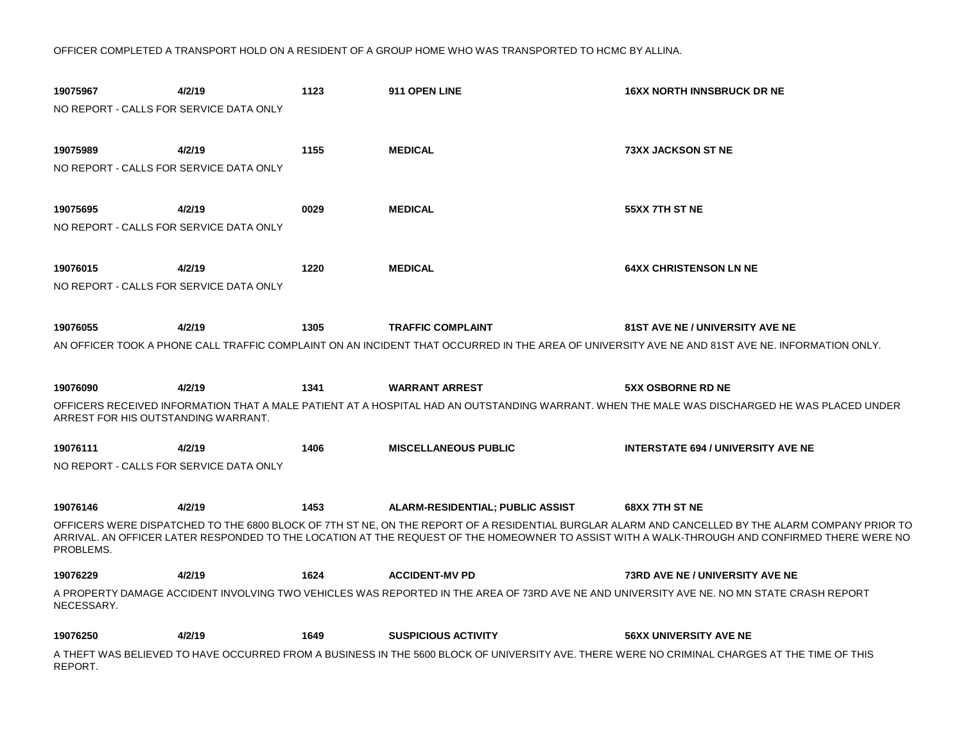OFFICER COMPLETED A TRANSPORT HOLD ON A RESIDENT OF A GROUP HOME WHO WAS TRANSPORTED TO HCMC BY ALLINA.

| 19075967<br>NO REPORT - CALLS FOR SERVICE DATA ONLY | 4/2/19 | 1123 | 911 OPEN LINE                           | <b>16XX NORTH INNSBRUCK DR NE</b>                                                                                                                                                                                                                                                                                    |
|-----------------------------------------------------|--------|------|-----------------------------------------|----------------------------------------------------------------------------------------------------------------------------------------------------------------------------------------------------------------------------------------------------------------------------------------------------------------------|
| 19075989<br>NO REPORT - CALLS FOR SERVICE DATA ONLY | 4/2/19 | 1155 | <b>MEDICAL</b>                          | <b>73XX JACKSON ST NE</b>                                                                                                                                                                                                                                                                                            |
| 19075695<br>NO REPORT - CALLS FOR SERVICE DATA ONLY | 4/2/19 | 0029 | <b>MEDICAL</b>                          | 55XX 7TH ST NE                                                                                                                                                                                                                                                                                                       |
| 19076015<br>NO REPORT - CALLS FOR SERVICE DATA ONLY | 4/2/19 | 1220 | <b>MEDICAL</b>                          | <b>64XX CHRISTENSON LN NE</b>                                                                                                                                                                                                                                                                                        |
| 19076055                                            | 4/2/19 | 1305 | <b>TRAFFIC COMPLAINT</b>                | <b>81ST AVE NE / UNIVERSITY AVE NE</b><br>AN OFFICER TOOK A PHONE CALL TRAFFIC COMPLAINT ON AN INCIDENT THAT OCCURRED IN THE AREA OF UNIVERSITY AVE NE AND 81ST AVE NE. INFORMATION ONLY.                                                                                                                            |
| 19076090<br>ARREST FOR HIS OUTSTANDING WARRANT.     | 4/2/19 | 1341 | <b>WARRANT ARREST</b>                   | <b>5XX OSBORNE RD NE</b><br>OFFICERS RECEIVED INFORMATION THAT A MALE PATIENT AT A HOSPITAL HAD AN OUTSTANDING WARRANT. WHEN THE MALE WAS DISCHARGED HE WAS PLACED UNDER                                                                                                                                             |
| 19076111<br>NO REPORT - CALLS FOR SERVICE DATA ONLY | 4/2/19 | 1406 | <b>MISCELLANEOUS PUBLIC</b>             | <b>INTERSTATE 694 / UNIVERSITY AVE NE</b>                                                                                                                                                                                                                                                                            |
| 19076146<br>PROBLEMS.                               | 4/2/19 | 1453 | <b>ALARM-RESIDENTIAL; PUBLIC ASSIST</b> | 68XX 7TH ST NE<br>OFFICERS WERE DISPATCHED TO THE 6800 BLOCK OF 7TH ST NE, ON THE REPORT OF A RESIDENTIAL BURGLAR ALARM AND CANCELLED BY THE ALARM COMPANY PRIOR TO<br>ARRIVAL. AN OFFICER LATER RESPONDED TO THE LOCATION AT THE REQUEST OF THE HOMEOWNER TO ASSIST WITH A WALK-THROUGH AND CONFIRMED THERE WERE NO |
| 19076229                                            | 4/2/19 | 1624 | <b>ACCIDENT-MV PD</b>                   | <b>73RD AVE NE / UNIVERSITY AVE NE</b>                                                                                                                                                                                                                                                                               |
| NECESSARY.                                          |        |      |                                         | A PROPERTY DAMAGE ACCIDENT INVOLVING TWO VEHICLES WAS REPORTED IN THE AREA OF 73RD AVE NE AND UNIVERSITY AVE NE. NO MN STATE CRASH REPORT                                                                                                                                                                            |
| 19076250                                            | 4/2/19 | 1649 | <b>SUSPICIOUS ACTIVITY</b>              | <b>56XX UNIVERSITY AVE NE</b>                                                                                                                                                                                                                                                                                        |
| REPORT.                                             |        |      |                                         | A THEFT WAS BELIEVED TO HAVE OCCURRED FROM A BUSINESS IN THE 5600 BLOCK OF UNIVERSITY AVE. THERE WERE NO CRIMINAL CHARGES AT THE TIME OF THIS                                                                                                                                                                        |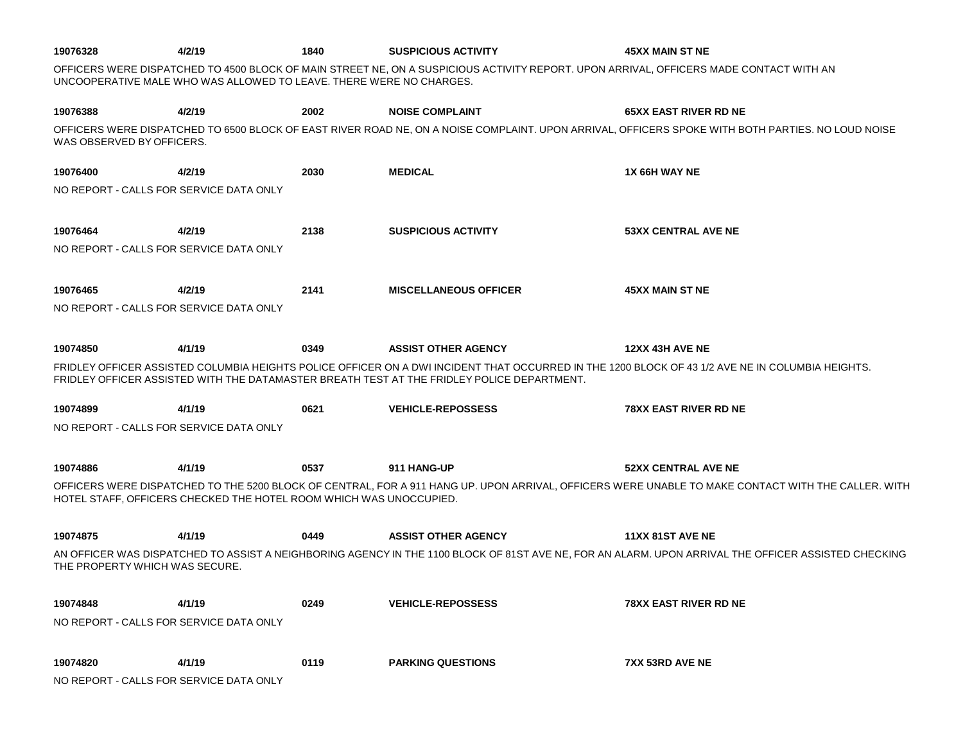| 19076328                  | 4/2/19                                  | 1840                                                               | <b>SUSPICIOUS ACTIVITY</b>                                                                 | <b>45XX MAIN ST NE</b>                                                                                                                              |
|---------------------------|-----------------------------------------|--------------------------------------------------------------------|--------------------------------------------------------------------------------------------|-----------------------------------------------------------------------------------------------------------------------------------------------------|
|                           |                                         |                                                                    | UNCOOPERATIVE MALE WHO WAS ALLOWED TO LEAVE. THERE WERE NO CHARGES.                        | OFFICERS WERE DISPATCHED TO 4500 BLOCK OF MAIN STREET NE, ON A SUSPICIOUS ACTIVITY REPORT. UPON ARRIVAL, OFFICERS MADE CONTACT WITH AN              |
| 19076388                  | 4/2/19                                  | 2002                                                               | <b>NOISE COMPLAINT</b>                                                                     | <b>65XX EAST RIVER RD NE</b>                                                                                                                        |
| WAS OBSERVED BY OFFICERS. |                                         |                                                                    |                                                                                            | OFFICERS WERE DISPATCHED TO 6500 BLOCK OF EAST RIVER ROAD NE, ON A NOISE COMPLAINT. UPON ARRIVAL, OFFICERS SPOKE WITH BOTH PARTIES. NO LOUD NOISE   |
| 19076400                  | 4/2/19                                  | 2030                                                               | <b>MEDICAL</b>                                                                             | 1X 66H WAY NE                                                                                                                                       |
|                           | NO REPORT - CALLS FOR SERVICE DATA ONLY |                                                                    |                                                                                            |                                                                                                                                                     |
| 19076464                  | 4/2/19                                  | 2138                                                               | <b>SUSPICIOUS ACTIVITY</b>                                                                 | <b>53XX CENTRAL AVE NE</b>                                                                                                                          |
|                           | NO REPORT - CALLS FOR SERVICE DATA ONLY |                                                                    |                                                                                            |                                                                                                                                                     |
| 19076465                  | 4/2/19                                  | 2141                                                               | <b>MISCELLANEOUS OFFICER</b>                                                               | <b>45XX MAIN ST NE</b>                                                                                                                              |
|                           | NO REPORT - CALLS FOR SERVICE DATA ONLY |                                                                    |                                                                                            |                                                                                                                                                     |
| 19074850                  | 4/1/19                                  | 0349                                                               | <b>ASSIST OTHER AGENCY</b>                                                                 | <b>12XX 43H AVE NE</b>                                                                                                                              |
|                           |                                         |                                                                    | FRIDLEY OFFICER ASSISTED WITH THE DATAMASTER BREATH TEST AT THE FRIDLEY POLICE DEPARTMENT. | FRIDLEY OFFICER ASSISTED COLUMBIA HEIGHTS POLICE OFFICER ON A DWI INCIDENT THAT OCCURRED IN THE 1200 BLOCK OF 43 1/2 AVE NE IN COLUMBIA HEIGHTS.    |
| 19074899                  | 4/1/19                                  | 0621                                                               | <b>VEHICLE-REPOSSESS</b>                                                                   | <b>78XX EAST RIVER RD NE</b>                                                                                                                        |
|                           | NO REPORT - CALLS FOR SERVICE DATA ONLY |                                                                    |                                                                                            |                                                                                                                                                     |
| 19074886                  | 4/1/19                                  | 0537                                                               | 911 HANG-UP                                                                                | <b>52XX CENTRAL AVE NE</b>                                                                                                                          |
|                           |                                         | HOTEL STAFF, OFFICERS CHECKED THE HOTEL ROOM WHICH WAS UNOCCUPIED. |                                                                                            | OFFICERS WERE DISPATCHED TO THE 5200 BLOCK OF CENTRAL, FOR A 911 HANG UP. UPON ARRIVAL, OFFICERS WERE UNABLE TO MAKE CONTACT WITH THE CALLER. WITH  |
| 19074875                  | 4/1/19                                  | 0449                                                               | <b>ASSIST OTHER AGENCY</b>                                                                 | <b>11XX 81ST AVE NE</b>                                                                                                                             |
|                           | THE PROPERTY WHICH WAS SECURE.          |                                                                    |                                                                                            | AN OFFICER WAS DISPATCHED TO ASSIST A NEIGHBORING AGENCY IN THE 1100 BLOCK OF 81ST AVE NE, FOR AN ALARM. UPON ARRIVAL THE OFFICER ASSISTED CHECKING |
| 19074848                  | 4/1/19                                  | 0249                                                               | <b>VEHICLE-REPOSSESS</b>                                                                   | <b>78XX EAST RIVER RD NE</b>                                                                                                                        |
|                           | NO REPORT - CALLS FOR SERVICE DATA ONLY |                                                                    |                                                                                            |                                                                                                                                                     |
| 19074820                  | 4/1/19                                  | 0119                                                               | <b>PARKING QUESTIONS</b>                                                                   | 7XX 53RD AVE NE                                                                                                                                     |
|                           | NO REPORT - CALLS FOR SERVICE DATA ONLY |                                                                    |                                                                                            |                                                                                                                                                     |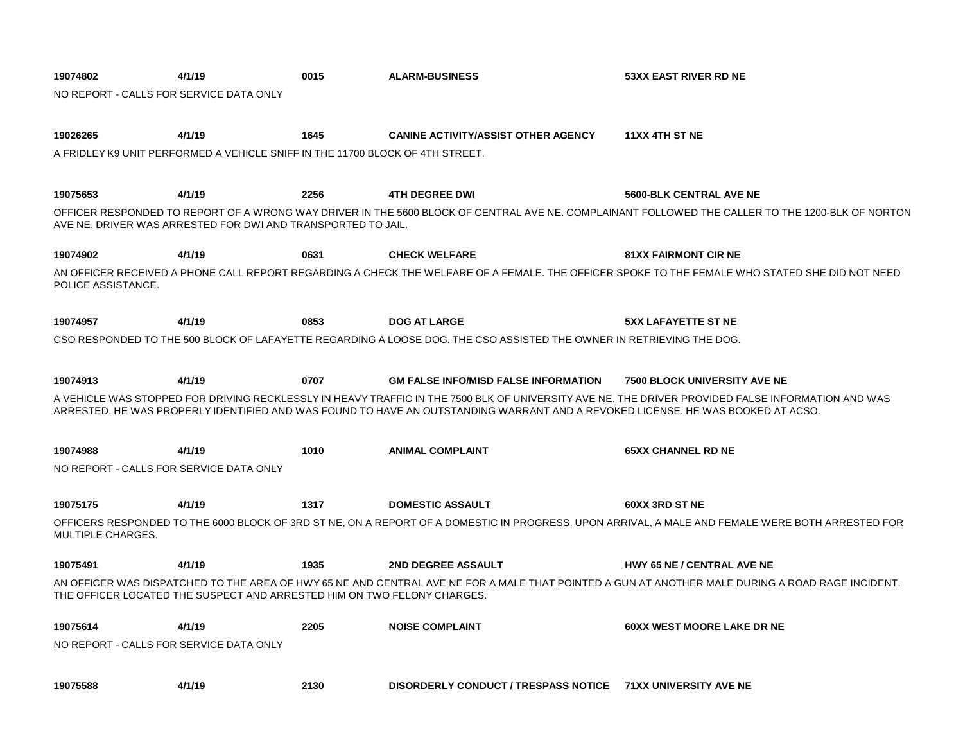| 19074802                                | 4/1/19                                                                        | 0015 | <b>ALARM-BUSINESS</b>                                                                                                           | <b>53XX EAST RIVER RD NE</b>                                                                                                                      |
|-----------------------------------------|-------------------------------------------------------------------------------|------|---------------------------------------------------------------------------------------------------------------------------------|---------------------------------------------------------------------------------------------------------------------------------------------------|
| NO REPORT - CALLS FOR SERVICE DATA ONLY |                                                                               |      |                                                                                                                                 |                                                                                                                                                   |
|                                         |                                                                               |      |                                                                                                                                 |                                                                                                                                                   |
| 19026265                                | 4/1/19                                                                        | 1645 | <b>CANINE ACTIVITY/ASSIST OTHER AGENCY</b>                                                                                      | <b>11XX 4TH ST NE</b>                                                                                                                             |
|                                         | A FRIDLEY K9 UNIT PERFORMED A VEHICLE SNIFF IN THE 11700 BLOCK OF 4TH STREET. |      |                                                                                                                                 |                                                                                                                                                   |
|                                         |                                                                               |      |                                                                                                                                 |                                                                                                                                                   |
| 19075653                                | 4/1/19                                                                        | 2256 | <b>4TH DEGREE DWI</b>                                                                                                           | <b>5600-BLK CENTRAL AVE NE</b>                                                                                                                    |
|                                         | AVE NE. DRIVER WAS ARRESTED FOR DWI AND TRANSPORTED TO JAIL.                  |      |                                                                                                                                 | OFFICER RESPONDED TO REPORT OF A WRONG WAY DRIVER IN THE 5600 BLOCK OF CENTRAL AVE NE. COMPLAINANT FOLLOWED THE CALLER TO THE 1200-BLK OF NORTON  |
| 19074902                                | 4/1/19                                                                        | 0631 | <b>CHECK WELFARE</b>                                                                                                            | <b>81XX FAIRMONT CIR NE</b>                                                                                                                       |
| POLICE ASSISTANCE.                      |                                                                               |      |                                                                                                                                 | AN OFFICER RECEIVED A PHONE CALL REPORT REGARDING A CHECK THE WELFARE OF A FEMALE. THE OFFICER SPOKE TO THE FEMALE WHO STATED SHE DID NOT NEED    |
| 19074957                                | 4/1/19                                                                        | 0853 | <b>DOG AT LARGE</b>                                                                                                             | <b>5XX LAFAYETTE ST NE</b>                                                                                                                        |
|                                         |                                                                               |      | CSO RESPONDED TO THE 500 BLOCK OF LAFAYETTE REGARDING A LOOSE DOG. THE CSO ASSISTED THE OWNER IN RETRIEVING THE DOG.            |                                                                                                                                                   |
|                                         |                                                                               |      |                                                                                                                                 |                                                                                                                                                   |
| 19074913                                | 4/1/19                                                                        | 0707 | <b>GM FALSE INFO/MISD FALSE INFORMATION</b>                                                                                     | <b>7500 BLOCK UNIVERSITY AVE NE</b>                                                                                                               |
|                                         |                                                                               |      | ARRESTED. HE WAS PROPERLY IDENTIFIED AND WAS FOUND TO HAVE AN OUTSTANDING WARRANT AND A REVOKED LICENSE. HE WAS BOOKED AT ACSO. | A VEHICLE WAS STOPPED FOR DRIVING RECKLESSLY IN HEAVY TRAFFIC IN THE 7500 BLK OF UNIVERSITY AVE NE. THE DRIVER PROVIDED FALSE INFORMATION AND WAS |
| 19074988                                | 4/1/19                                                                        | 1010 | <b>ANIMAL COMPLAINT</b>                                                                                                         | <b>65XX CHANNEL RD NE</b>                                                                                                                         |
| NO REPORT - CALLS FOR SERVICE DATA ONLY |                                                                               |      |                                                                                                                                 |                                                                                                                                                   |
| 19075175                                | 4/1/19                                                                        | 1317 | <b>DOMESTIC ASSAULT</b>                                                                                                         | 60XX 3RD ST NE                                                                                                                                    |
| MULTIPLE CHARGES.                       |                                                                               |      |                                                                                                                                 | OFFICERS RESPONDED TO THE 6000 BLOCK OF 3RD ST NE, ON A REPORT OF A DOMESTIC IN PROGRESS. UPON ARRIVAL, A MALE AND FEMALE WERE BOTH ARRESTED FOR  |
| 19075491                                | 4/1/19                                                                        | 1935 | <b>2ND DEGREE ASSAULT</b>                                                                                                       | HWY 65 NE / CENTRAL AVE NE                                                                                                                        |
|                                         | THE OFFICER LOCATED THE SUSPECT AND ARRESTED HIM ON TWO FELONY CHARGES.       |      |                                                                                                                                 | AN OFFICER WAS DISPATCHED TO THE AREA OF HWY 65 NE AND CENTRAL AVE NE FOR A MALE THAT POINTED A GUN AT ANOTHER MALE DURING A ROAD RAGE INCIDENT.  |
| 19075614                                | 4/1/19                                                                        | 2205 | <b>NOISE COMPLAINT</b>                                                                                                          | <b>60XX WEST MOORE LAKE DR NE</b>                                                                                                                 |
| NO REPORT - CALLS FOR SERVICE DATA ONLY |                                                                               |      |                                                                                                                                 |                                                                                                                                                   |
|                                         |                                                                               |      |                                                                                                                                 |                                                                                                                                                   |
| 19075588                                | 4/1/19                                                                        | 2130 | DISORDERLY CONDUCT / TRESPASS NOTICE 71XX UNIVERSITY AVE NE                                                                     |                                                                                                                                                   |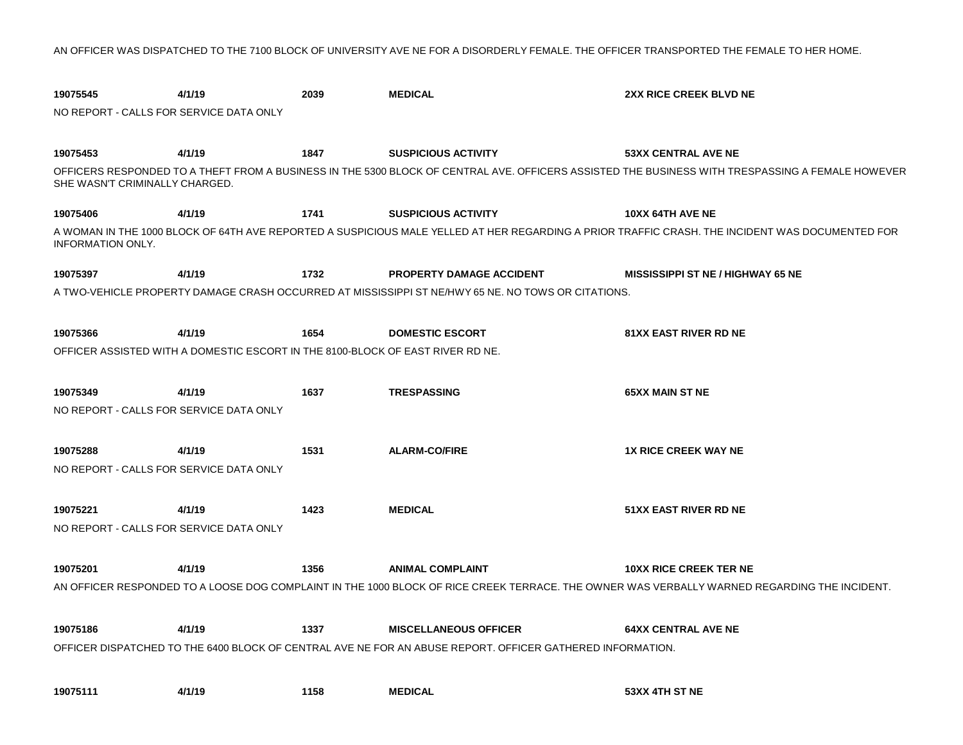AN OFFICER WAS DISPATCHED TO THE 7100 BLOCK OF UNIVERSITY AVE NE FOR A DISORDERLY FEMALE. THE OFFICER TRANSPORTED THE FEMALE TO HER HOME.

| 19075545                                | 4/1/19                                                                         | 2039 | <b>MEDICAL</b>                                                                                            | 2XX RICE CREEK BLVD NE                                                                                                                           |
|-----------------------------------------|--------------------------------------------------------------------------------|------|-----------------------------------------------------------------------------------------------------------|--------------------------------------------------------------------------------------------------------------------------------------------------|
| NO REPORT - CALLS FOR SERVICE DATA ONLY |                                                                                |      |                                                                                                           |                                                                                                                                                  |
|                                         |                                                                                |      |                                                                                                           |                                                                                                                                                  |
| 19075453                                | 4/1/19                                                                         | 1847 | <b>SUSPICIOUS ACTIVITY</b>                                                                                | <b>53XX CENTRAL AVE NE</b>                                                                                                                       |
| SHE WASN'T CRIMINALLY CHARGED.          |                                                                                |      |                                                                                                           | OFFICERS RESPONDED TO A THEFT FROM A BUSINESS IN THE 5300 BLOCK OF CENTRAL AVE. OFFICERS ASSISTED THE BUSINESS WITH TRESPASSING A FEMALE HOWEVER |
| 19075406                                | 4/1/19                                                                         | 1741 | <b>SUSPICIOUS ACTIVITY</b>                                                                                | 10XX 64TH AVE NE                                                                                                                                 |
| <b>INFORMATION ONLY.</b>                |                                                                                |      |                                                                                                           | A WOMAN IN THE 1000 BLOCK OF 64TH AVE REPORTED A SUSPICIOUS MALE YELLED AT HER REGARDING A PRIOR TRAFFIC CRASH. THE INCIDENT WAS DOCUMENTED FOR  |
| 19075397                                | 4/1/19                                                                         | 1732 | <b>PROPERTY DAMAGE ACCIDENT</b>                                                                           | <b>MISSISSIPPI ST NE / HIGHWAY 65 NE</b>                                                                                                         |
|                                         |                                                                                |      | A TWO-VEHICLE PROPERTY DAMAGE CRASH OCCURRED AT MISSISSIPPI ST NE/HWY 65 NE. NO TOWS OR CITATIONS.        |                                                                                                                                                  |
|                                         |                                                                                |      |                                                                                                           |                                                                                                                                                  |
| 19075366                                | 4/1/19                                                                         | 1654 | <b>DOMESTIC ESCORT</b>                                                                                    | <b>81XX EAST RIVER RD NE</b>                                                                                                                     |
|                                         | OFFICER ASSISTED WITH A DOMESTIC ESCORT IN THE 8100-BLOCK OF EAST RIVER RD NE. |      |                                                                                                           |                                                                                                                                                  |
|                                         |                                                                                |      |                                                                                                           |                                                                                                                                                  |
| 19075349                                | 4/1/19                                                                         | 1637 | <b>TRESPASSING</b>                                                                                        | <b>65XX MAIN ST NE</b>                                                                                                                           |
| NO REPORT - CALLS FOR SERVICE DATA ONLY |                                                                                |      |                                                                                                           |                                                                                                                                                  |
|                                         |                                                                                |      |                                                                                                           |                                                                                                                                                  |
| 19075288                                | 4/1/19                                                                         | 1531 | <b>ALARM-CO/FIRE</b>                                                                                      | <b>1X RICE CREEK WAY NE</b>                                                                                                                      |
| NO REPORT - CALLS FOR SERVICE DATA ONLY |                                                                                |      |                                                                                                           |                                                                                                                                                  |
|                                         |                                                                                |      |                                                                                                           |                                                                                                                                                  |
| 19075221                                | 4/1/19                                                                         | 1423 | <b>MEDICAL</b>                                                                                            | <b>51XX EAST RIVER RD NE</b>                                                                                                                     |
| NO REPORT - CALLS FOR SERVICE DATA ONLY |                                                                                |      |                                                                                                           |                                                                                                                                                  |
| 19075201                                | 4/1/19                                                                         | 1356 | <b>ANIMAL COMPLAINT</b>                                                                                   | <b>10XX RICE CREEK TER NE</b>                                                                                                                    |
|                                         |                                                                                |      |                                                                                                           | AN OFFICER RESPONDED TO A LOOSE DOG COMPLAINT IN THE 1000 BLOCK OF RICE CREEK TERRACE. THE OWNER WAS VERBALLY WARNED REGARDING THE INCIDENT.     |
|                                         |                                                                                |      |                                                                                                           |                                                                                                                                                  |
| 19075186                                | 4/1/19                                                                         | 1337 | <b>MISCELLANEOUS OFFICER</b>                                                                              | <b>64XX CENTRAL AVE NE</b>                                                                                                                       |
|                                         |                                                                                |      | OFFICER DISPATCHED TO THE 6400 BLOCK OF CENTRAL AVE NE FOR AN ABUSE REPORT. OFFICER GATHERED INFORMATION. |                                                                                                                                                  |
|                                         |                                                                                |      |                                                                                                           |                                                                                                                                                  |
| 19075111                                | 4/1/19                                                                         | 1158 | <b>MEDICAL</b>                                                                                            | 53XX 4TH ST NE                                                                                                                                   |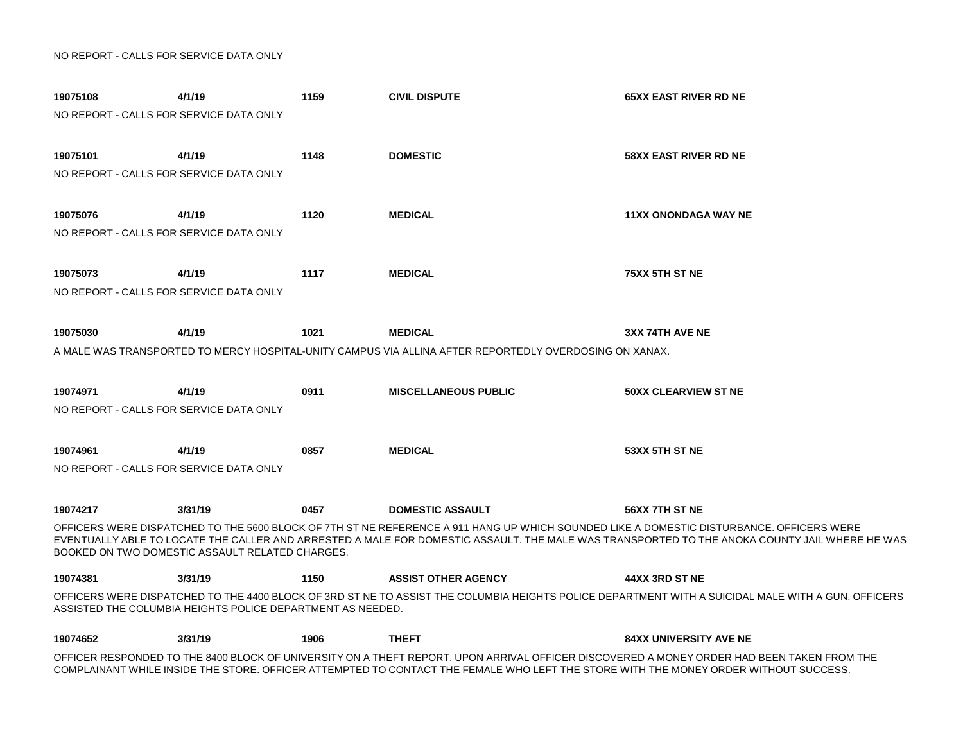| 19075108<br>NO REPORT - CALLS FOR SERVICE DATA ONLY | 4/1/19                                                     | 1159 | <b>CIVIL DISPUTE</b>                                                                                                                 | <b>65XX EAST RIVER RD NE</b>                                                                                                                                                                                                                                                                                |
|-----------------------------------------------------|------------------------------------------------------------|------|--------------------------------------------------------------------------------------------------------------------------------------|-------------------------------------------------------------------------------------------------------------------------------------------------------------------------------------------------------------------------------------------------------------------------------------------------------------|
| 19075101<br>NO REPORT - CALLS FOR SERVICE DATA ONLY | 4/1/19                                                     | 1148 | <b>DOMESTIC</b>                                                                                                                      | <b>58XX EAST RIVER RD NE</b>                                                                                                                                                                                                                                                                                |
| 19075076<br>NO REPORT - CALLS FOR SERVICE DATA ONLY | 4/1/19                                                     | 1120 | <b>MEDICAL</b>                                                                                                                       | <b>11XX ONONDAGA WAY NE</b>                                                                                                                                                                                                                                                                                 |
| 19075073<br>NO REPORT - CALLS FOR SERVICE DATA ONLY | 4/1/19                                                     | 1117 | <b>MEDICAL</b>                                                                                                                       | 75XX 5TH ST NE                                                                                                                                                                                                                                                                                              |
| 19075030                                            | 4/1/19                                                     | 1021 | <b>MEDICAL</b><br>A MALE WAS TRANSPORTED TO MERCY HOSPITAL-UNITY CAMPUS VIA ALLINA AFTER REPORTEDLY OVERDOSING ON XANAX.             | 3XX 74TH AVE NE                                                                                                                                                                                                                                                                                             |
| 19074971<br>NO REPORT - CALLS FOR SERVICE DATA ONLY | 4/1/19                                                     | 0911 | <b>MISCELLANEOUS PUBLIC</b>                                                                                                          | <b>50XX CLEARVIEW ST NE</b>                                                                                                                                                                                                                                                                                 |
| 19074961<br>NO REPORT - CALLS FOR SERVICE DATA ONLY | 4/1/19                                                     | 0857 | <b>MEDICAL</b>                                                                                                                       | 53XX 5TH ST NE                                                                                                                                                                                                                                                                                              |
| 19074217                                            | 3/31/19                                                    | 0457 | <b>DOMESTIC ASSAULT</b>                                                                                                              | 56XX 7TH ST NE<br>OFFICERS WERE DISPATCHED TO THE 5600 BLOCK OF 7TH ST NE REFERENCE A 911 HANG UP WHICH SOUNDED LIKE A DOMESTIC DISTURBANCE. OFFICERS WERE<br>EVENTUALLY ABLE TO LOCATE THE CALLER AND ARRESTED A MALE FOR DOMESTIC ASSAULT. THE MALE WAS TRANSPORTED TO THE ANOKA COUNTY JAIL WHERE HE WAS |
|                                                     | BOOKED ON TWO DOMESTIC ASSAULT RELATED CHARGES.            |      |                                                                                                                                      |                                                                                                                                                                                                                                                                                                             |
| 19074381                                            | 3/31/19                                                    | 1150 | <b>ASSIST OTHER AGENCY</b>                                                                                                           | 44XX 3RD ST NE                                                                                                                                                                                                                                                                                              |
|                                                     | ASSISTED THE COLUMBIA HEIGHTS POLICE DEPARTMENT AS NEEDED. |      |                                                                                                                                      | OFFICERS WERE DISPATCHED TO THE 4400 BLOCK OF 3RD ST NE TO ASSIST THE COLUMBIA HEIGHTS POLICE DEPARTMENT WITH A SUICIDAL MALE WITH A GUN. OFFICERS                                                                                                                                                          |
| 19074652                                            | 3/31/19                                                    | 1906 | <b>THEFT</b>                                                                                                                         | <b>84XX UNIVERSITY AVE NE</b>                                                                                                                                                                                                                                                                               |
|                                                     |                                                            |      | COMPLAINANT WHILE INSIDE THE STORE. OFFICER ATTEMPTED TO CONTACT THE FEMALE WHO LEFT THE STORE WITH THE MONEY ORDER WITHOUT SUCCESS. | OFFICER RESPONDED TO THE 8400 BLOCK OF UNIVERSITY ON A THEFT REPORT. UPON ARRIVAL OFFICER DISCOVERED A MONEY ORDER HAD BEEN TAKEN FROM THE                                                                                                                                                                  |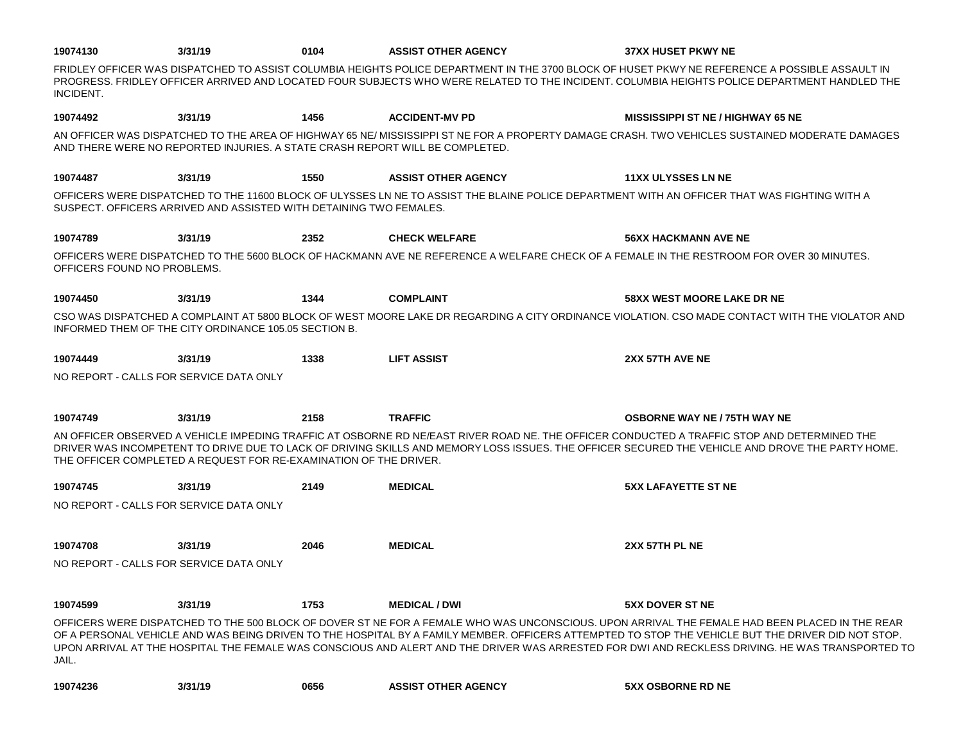| 19074130                                | 3/31/19                                                            | 0104 | <b>ASSIST OTHER AGENCY</b>                                                   | <b>37XX HUSET PKWY NE</b>                                                                                                                                                                                                                                                                                                                                                                                                                               |
|-----------------------------------------|--------------------------------------------------------------------|------|------------------------------------------------------------------------------|---------------------------------------------------------------------------------------------------------------------------------------------------------------------------------------------------------------------------------------------------------------------------------------------------------------------------------------------------------------------------------------------------------------------------------------------------------|
| INCIDENT.                               |                                                                    |      |                                                                              | FRIDLEY OFFICER WAS DISPATCHED TO ASSIST COLUMBIA HEIGHTS POLICE DEPARTMENT IN THE 3700 BLOCK OF HUSET PKWY NE REFERENCE A POSSIBLE ASSAULT IN<br>PROGRESS. FRIDLEY OFFICER ARRIVED AND LOCATED FOUR SUBJECTS WHO WERE RELATED TO THE INCIDENT. COLUMBIA HEIGHTS POLICE DEPARTMENT HANDLED THE                                                                                                                                                          |
| 19074492                                | 3/31/19                                                            | 1456 | <b>ACCIDENT-MV PD</b>                                                        | <b>MISSISSIPPI ST NE / HIGHWAY 65 NE</b>                                                                                                                                                                                                                                                                                                                                                                                                                |
|                                         |                                                                    |      | AND THERE WERE NO REPORTED INJURIES. A STATE CRASH REPORT WILL BE COMPLETED. | AN OFFICER WAS DISPATCHED TO THE AREA OF HIGHWAY 65 NE/ MISSISSIPPI ST NE FOR A PROPERTY DAMAGE CRASH. TWO VEHICLES SUSTAINED MODERATE DAMAGES                                                                                                                                                                                                                                                                                                          |
| 19074487                                | 3/31/19                                                            | 1550 | <b>ASSIST OTHER AGENCY</b>                                                   | <b>11XX ULYSSES LN NE</b>                                                                                                                                                                                                                                                                                                                                                                                                                               |
|                                         | SUSPECT. OFFICERS ARRIVED AND ASSISTED WITH DETAINING TWO FEMALES. |      |                                                                              | OFFICERS WERE DISPATCHED TO THE 11600 BLOCK OF ULYSSES LN NE TO ASSIST THE BLAINE POLICE DEPARTMENT WITH AN OFFICER THAT WAS FIGHTING WITH A                                                                                                                                                                                                                                                                                                            |
| 19074789                                | 3/31/19                                                            | 2352 | <b>CHECK WELFARE</b>                                                         | <b>56XX HACKMANN AVE NE</b>                                                                                                                                                                                                                                                                                                                                                                                                                             |
| OFFICERS FOUND NO PROBLEMS.             |                                                                    |      |                                                                              | OFFICERS WERE DISPATCHED TO THE 5600 BLOCK OF HACKMANN AVE NE REFERENCE A WELFARE CHECK OF A FEMALE IN THE RESTROOM FOR OVER 30 MINUTES.                                                                                                                                                                                                                                                                                                                |
| 19074450                                | 3/31/19                                                            | 1344 | <b>COMPLAINT</b>                                                             | <b>58XX WEST MOORE LAKE DR NE</b>                                                                                                                                                                                                                                                                                                                                                                                                                       |
|                                         | INFORMED THEM OF THE CITY ORDINANCE 105.05 SECTION B.              |      |                                                                              | CSO WAS DISPATCHED A COMPLAINT AT 5800 BLOCK OF WEST MOORE LAKE DR REGARDING A CITY ORDINANCE VIOLATION. CSO MADE CONTACT WITH THE VIOLATOR AND                                                                                                                                                                                                                                                                                                         |
| 19074449                                | 3/31/19                                                            | 1338 | <b>LIFT ASSIST</b>                                                           | 2XX 57TH AVE NE                                                                                                                                                                                                                                                                                                                                                                                                                                         |
| NO REPORT - CALLS FOR SERVICE DATA ONLY |                                                                    |      |                                                                              |                                                                                                                                                                                                                                                                                                                                                                                                                                                         |
| 19074749                                | 3/31/19                                                            | 2158 | <b>TRAFFIC</b>                                                               | <b>OSBORNE WAY NE / 75TH WAY NE</b>                                                                                                                                                                                                                                                                                                                                                                                                                     |
|                                         | THE OFFICER COMPLETED A REQUEST FOR RE-EXAMINATION OF THE DRIVER.  |      |                                                                              | AN OFFICER OBSERVED A VEHICLE IMPEDING TRAFFIC AT OSBORNE RD NE/EAST RIVER ROAD NE. THE OFFICER CONDUCTED A TRAFFIC STOP AND DETERMINED THE<br>DRIVER WAS INCOMPETENT TO DRIVE DUE TO LACK OF DRIVING SKILLS AND MEMORY LOSS ISSUES. THE OFFICER SECURED THE VEHICLE AND DROVE THE PARTY HOME.                                                                                                                                                          |
| 19074745                                | 3/31/19                                                            | 2149 | <b>MEDICAL</b>                                                               | <b>5XX LAFAYETTE ST NE</b>                                                                                                                                                                                                                                                                                                                                                                                                                              |
| NO REPORT - CALLS FOR SERVICE DATA ONLY |                                                                    |      |                                                                              |                                                                                                                                                                                                                                                                                                                                                                                                                                                         |
| 19074708                                | 3/31/19                                                            | 2046 | <b>MEDICAL</b>                                                               | 2XX 57TH PL NE                                                                                                                                                                                                                                                                                                                                                                                                                                          |
| NO REPORT - CALLS FOR SERVICE DATA ONLY |                                                                    |      |                                                                              |                                                                                                                                                                                                                                                                                                                                                                                                                                                         |
| 19074599                                | 3/31/19                                                            | 1753 | <b>MEDICAL / DWI</b>                                                         | <b>5XX DOVER ST NE</b>                                                                                                                                                                                                                                                                                                                                                                                                                                  |
| JAIL.                                   |                                                                    |      |                                                                              | OFFICERS WERE DISPATCHED TO THE 500 BLOCK OF DOVER ST NE FOR A FEMALE WHO WAS UNCONSCIOUS. UPON ARRIVAL THE FEMALE HAD BEEN PLACED IN THE REAR<br>OF A PERSONAL VEHICLE AND WAS BEING DRIVEN TO THE HOSPITAL BY A FAMILY MEMBER. OFFICERS ATTEMPTED TO STOP THE VEHICLE BUT THE DRIVER DID NOT STOP.<br>UPON ARRIVAL AT THE HOSPITAL THE FEMALE WAS CONSCIOUS AND ALERT AND THE DRIVER WAS ARRESTED FOR DWI AND RECKLESS DRIVING. HE WAS TRANSPORTED TO |
| 19074236                                | 3/31/19                                                            | 0656 | <b>ASSIST OTHER AGENCY</b>                                                   | <b>5XX OSBORNE RD NE</b>                                                                                                                                                                                                                                                                                                                                                                                                                                |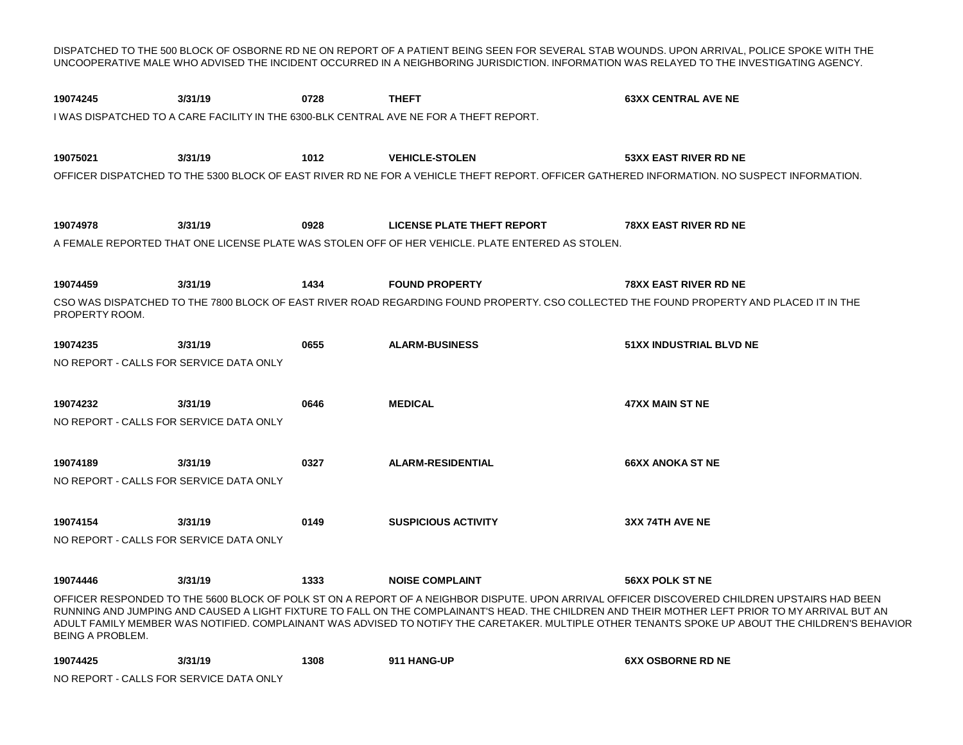**3/31/19 0728 3/31/19 1012 3/31/19 0928 3/31/19 1434 3/31/19 0655 3/31/19 0646 3/31/19 0327 3/31/19 0149 3/31/19 1333 3/31/19 1308** DISPATCHED TO THE 500 BLOCK OF OSBORNE RD NE ON REPORT OF A PATIENT BEING SEEN FOR SEVERAL STAB WOUNDS. UPON ARRIVAL, POLICE SPOKE WITH THE UNCOOPERATIVE MALE WHO ADVISED THE INCIDENT OCCURRED IN A NEIGHBORING JURISDICTION. INFORMATION WAS RELAYED TO THE INVESTIGATING AGENCY. **19074245 THEFT 63XX CENTRAL AVE NE** I WAS DISPATCHED TO A CARE FACILITY IN THE 6300-BLK CENTRAL AVE NE FOR A THEFT REPORT. **19075021 VEHICLE-STOLEN 53XX EAST RIVER RD NE** OFFICER DISPATCHED TO THE 5300 BLOCK OF EAST RIVER RD NE FOR A VEHICLE THEFT REPORT. OFFICER GATHERED INFORMATION. NO SUSPECT INFORMATION. **19074978 LICENSE PLATE THEFT REPORT 78XX EAST RIVER RD NE** A FEMALE REPORTED THAT ONE LICENSE PLATE WAS STOLEN OFF OF HER VEHICLE. PLATE ENTERED AS STOLEN. **19074459 FOUND PROPERTY 78XX EAST RIVER RD NE** CSO WAS DISPATCHED TO THE 7800 BLOCK OF EAST RIVER ROAD REGARDING FOUND PROPERTY. CSO COLLECTED THE FOUND PROPERTY AND PLACED IT IN THE PROPERTY ROOM. **19074235 ALARM-BUSINESS 51XX INDUSTRIAL BLVD NE** NO REPORT - CALLS FOR SERVICE DATA ONLY **19074232 MEDICAL 47XX MAIN ST NE** NO REPORT - CALLS FOR SERVICE DATA ONLY **19074189 ALARM-RESIDENTIAL 66XX ANOKA ST NE** NO REPORT - CALLS FOR SERVICE DATA ONLY **19074154 SUSPICIOUS ACTIVITY 3XX 74TH AVE NE** NO REPORT - CALLS FOR SERVICE DATA ONLY **19074446 NOISE COMPLAINT 56XX POLK ST NE** OFFICER RESPONDED TO THE 5600 BLOCK OF POLK ST ON A REPORT OF A NEIGHBOR DISPUTE. UPON ARRIVAL OFFICER DISCOVERED CHILDREN UPSTAIRS HAD BEEN RUNNING AND JUMPING AND CAUSED A LIGHT FIXTURE TO FALL ON THE COMPLAINANT'S HEAD. THE CHILDREN AND THEIR MOTHER LEFT PRIOR TO MY ARRIVAL BUT AN ADULT FAMILY MEMBER WAS NOTIFIED. COMPLAINANT WAS ADVISED TO NOTIFY THE CARETAKER. MULTIPLE OTHER TENANTS SPOKE UP ABOUT THE CHILDREN'S BEHAVIOR BEING A PROBLEM. **19074425 911 HANG-UP 6XX OSBORNE RD NE**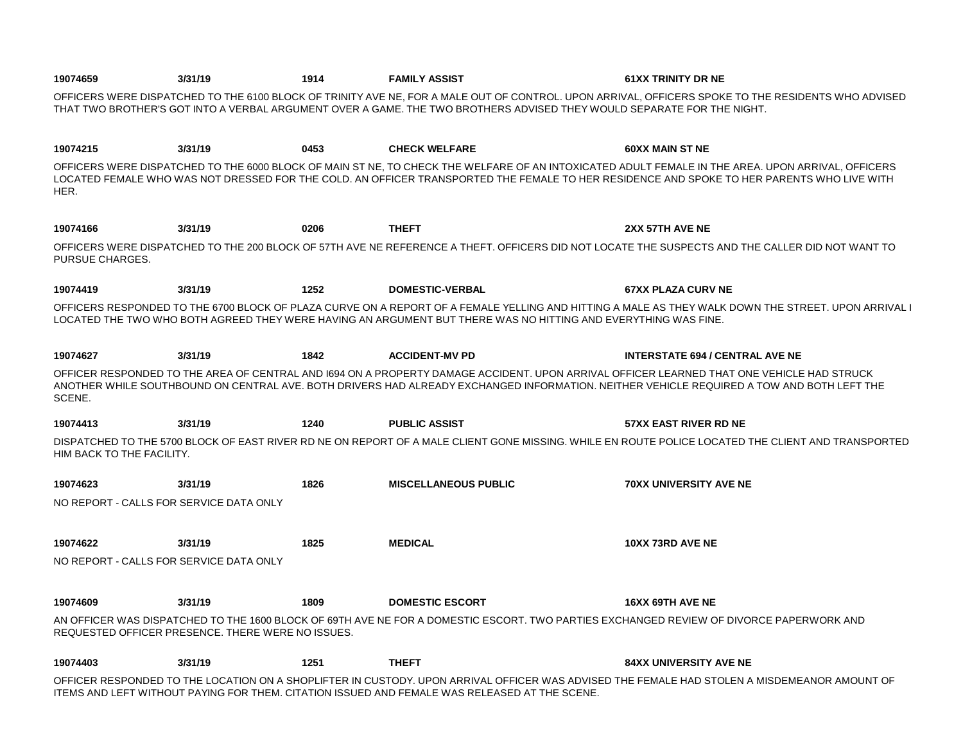| 19074659                  | 3/31/19                                                                                                                                                                                                                                                                      | 1914 | <b>FAMILY ASSIST</b>                                                                                           | <b>61XX TRINITY DR NE</b>                                                                                                                                                                                                                                                                       |  |  |  |
|---------------------------|------------------------------------------------------------------------------------------------------------------------------------------------------------------------------------------------------------------------------------------------------------------------------|------|----------------------------------------------------------------------------------------------------------------|-------------------------------------------------------------------------------------------------------------------------------------------------------------------------------------------------------------------------------------------------------------------------------------------------|--|--|--|
|                           | OFFICERS WERE DISPATCHED TO THE 6100 BLOCK OF TRINITY AVE NE, FOR A MALE OUT OF CONTROL. UPON ARRIVAL, OFFICERS SPOKE TO THE RESIDENTS WHO ADVISED<br>THAT TWO BROTHER'S GOT INTO A VERBAL ARGUMENT OVER A GAME. THE TWO BROTHERS ADVISED THEY WOULD SEPARATE FOR THE NIGHT. |      |                                                                                                                |                                                                                                                                                                                                                                                                                                 |  |  |  |
| 19074215                  | 3/31/19                                                                                                                                                                                                                                                                      | 0453 | <b>CHECK WELFARE</b>                                                                                           | <b>60XX MAIN ST NE</b>                                                                                                                                                                                                                                                                          |  |  |  |
| HER.                      |                                                                                                                                                                                                                                                                              |      |                                                                                                                | OFFICERS WERE DISPATCHED TO THE 6000 BLOCK OF MAIN ST NE, TO CHECK THE WELFARE OF AN INTOXICATED ADULT FEMALE IN THE AREA. UPON ARRIVAL, OFFICERS<br>LOCATED FEMALE WHO WAS NOT DRESSED FOR THE COLD. AN OFFICER TRANSPORTED THE FEMALE TO HER RESIDENCE AND SPOKE TO HER PARENTS WHO LIVE WITH |  |  |  |
| 19074166                  | 3/31/19                                                                                                                                                                                                                                                                      | 0206 | <b>THEFT</b>                                                                                                   | 2XX 57TH AVE NE                                                                                                                                                                                                                                                                                 |  |  |  |
| PURSUE CHARGES.           |                                                                                                                                                                                                                                                                              |      |                                                                                                                | OFFICERS WERE DISPATCHED TO THE 200 BLOCK OF 57TH AVE NE REFERENCE A THEFT. OFFICERS DID NOT LOCATE THE SUSPECTS AND THE CALLER DID NOT WANT TO                                                                                                                                                 |  |  |  |
| 19074419                  | 3/31/19                                                                                                                                                                                                                                                                      | 1252 | <b>DOMESTIC-VERBAL</b>                                                                                         | <b>67XX PLAZA CURV NE</b>                                                                                                                                                                                                                                                                       |  |  |  |
|                           |                                                                                                                                                                                                                                                                              |      | LOCATED THE TWO WHO BOTH AGREED THEY WERE HAVING AN ARGUMENT BUT THERE WAS NO HITTING AND EVERYTHING WAS FINE. | OFFICERS RESPONDED TO THE 6700 BLOCK OF PLAZA CURVE ON A REPORT OF A FEMALE YELLING AND HITTING A MALE AS THEY WALK DOWN THE STREET. UPON ARRIVAL I                                                                                                                                             |  |  |  |
| 19074627                  | 3/31/19                                                                                                                                                                                                                                                                      | 1842 | <b>ACCIDENT-MV PD</b>                                                                                          | <b>INTERSTATE 694 / CENTRAL AVE NE</b>                                                                                                                                                                                                                                                          |  |  |  |
| SCENE.                    |                                                                                                                                                                                                                                                                              |      |                                                                                                                | OFFICER RESPONDED TO THE AREA OF CENTRAL AND 1694 ON A PROPERTY DAMAGE ACCIDENT. UPON ARRIVAL OFFICER LEARNED THAT ONE VEHICLE HAD STRUCK<br>ANOTHER WHILE SOUTHBOUND ON CENTRAL AVE. BOTH DRIVERS HAD ALREADY EXCHANGED INFORMATION. NEITHER VEHICLE REQUIRED A TOW AND BOTH LEFT THE          |  |  |  |
| 19074413                  | 3/31/19                                                                                                                                                                                                                                                                      | 1240 | <b>PUBLIC ASSIST</b>                                                                                           | <b>57XX EAST RIVER RD NE</b>                                                                                                                                                                                                                                                                    |  |  |  |
| HIM BACK TO THE FACILITY. |                                                                                                                                                                                                                                                                              |      |                                                                                                                | DISPATCHED TO THE 5700 BLOCK OF EAST RIVER RD NE ON REPORT OF A MALE CLIENT GONE MISSING. WHILE EN ROUTE POLICE LOCATED THE CLIENT AND TRANSPORTED                                                                                                                                              |  |  |  |
| 19074623                  | 3/31/19                                                                                                                                                                                                                                                                      | 1826 | <b>MISCELLANEOUS PUBLIC</b>                                                                                    | <b>70XX UNIVERSITY AVE NE</b>                                                                                                                                                                                                                                                                   |  |  |  |
|                           | NO REPORT - CALLS FOR SERVICE DATA ONLY                                                                                                                                                                                                                                      |      |                                                                                                                |                                                                                                                                                                                                                                                                                                 |  |  |  |
| 19074622                  | 3/31/19                                                                                                                                                                                                                                                                      | 1825 | <b>MEDICAL</b>                                                                                                 | 10XX 73RD AVE NE                                                                                                                                                                                                                                                                                |  |  |  |
|                           | NO REPORT - CALLS FOR SERVICE DATA ONLY                                                                                                                                                                                                                                      |      |                                                                                                                |                                                                                                                                                                                                                                                                                                 |  |  |  |
| 19074609                  | 3/31/19                                                                                                                                                                                                                                                                      | 1809 | <b>DOMESTIC ESCORT</b>                                                                                         | <b>16XX 69TH AVE NE</b>                                                                                                                                                                                                                                                                         |  |  |  |
|                           | REQUESTED OFFICER PRESENCE. THERE WERE NO ISSUES.                                                                                                                                                                                                                            |      |                                                                                                                | AN OFFICER WAS DISPATCHED TO THE 1600 BLOCK OF 69TH AVE NE FOR A DOMESTIC ESCORT. TWO PARTIES EXCHANGED REVIEW OF DIVORCE PAPERWORK AND                                                                                                                                                         |  |  |  |
| 19074403                  | 3/31/19                                                                                                                                                                                                                                                                      | 1251 | <b>THEFT</b>                                                                                                   | <b>84XX UNIVERSITY AVE NE</b>                                                                                                                                                                                                                                                                   |  |  |  |
|                           |                                                                                                                                                                                                                                                                              |      | ITEMS AND LEFT WITHOUT PAYING FOR THEM. CITATION ISSUED AND FEMALE WAS RELEASED AT THE SCENE.                  | OFFICER RESPONDED TO THE LOCATION ON A SHOPLIFTER IN CUSTODY. UPON ARRIVAL OFFICER WAS ADVISED THE FEMALE HAD STOLEN A MISDEMEANOR AMOUNT OF                                                                                                                                                    |  |  |  |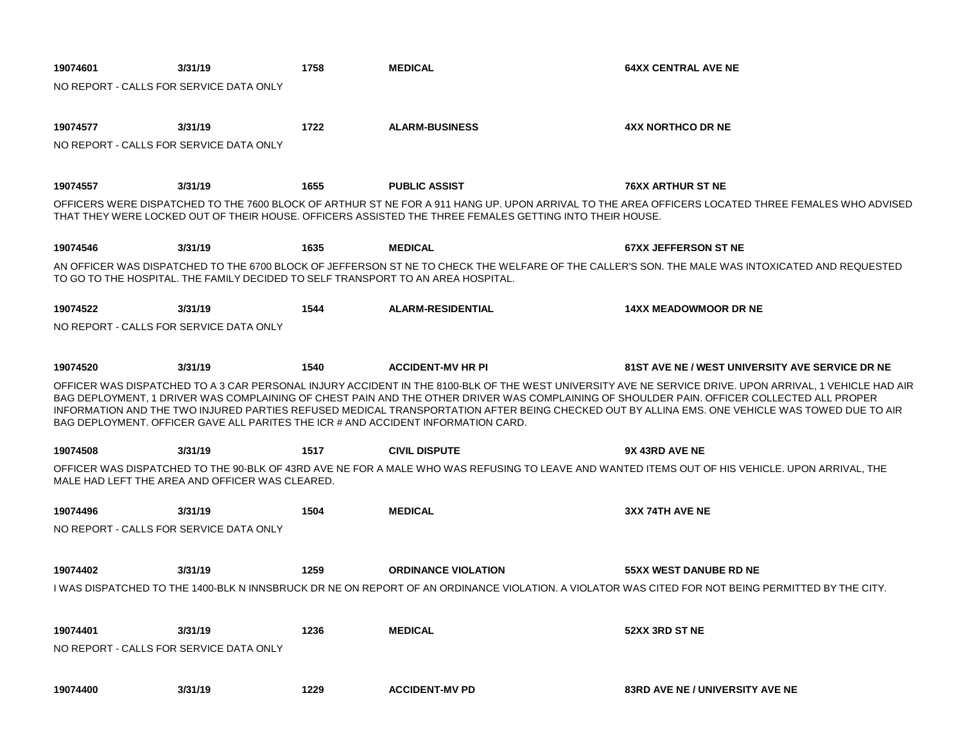| 19074601                                | 3/31/19                                         | 1758 | <b>MEDICAL</b>                                                                                          | <b>64XX CENTRAL AVE NE</b>                                                                                                                                                                                                                                                                                                                                                                                                                              |  |
|-----------------------------------------|-------------------------------------------------|------|---------------------------------------------------------------------------------------------------------|---------------------------------------------------------------------------------------------------------------------------------------------------------------------------------------------------------------------------------------------------------------------------------------------------------------------------------------------------------------------------------------------------------------------------------------------------------|--|
| NO REPORT - CALLS FOR SERVICE DATA ONLY |                                                 |      |                                                                                                         |                                                                                                                                                                                                                                                                                                                                                                                                                                                         |  |
|                                         |                                                 |      |                                                                                                         |                                                                                                                                                                                                                                                                                                                                                                                                                                                         |  |
| 19074577                                | 3/31/19                                         | 1722 | <b>ALARM-BUSINESS</b>                                                                                   | <b>4XX NORTHCO DR NE</b>                                                                                                                                                                                                                                                                                                                                                                                                                                |  |
| NO REPORT - CALLS FOR SERVICE DATA ONLY |                                                 |      |                                                                                                         |                                                                                                                                                                                                                                                                                                                                                                                                                                                         |  |
|                                         |                                                 |      |                                                                                                         |                                                                                                                                                                                                                                                                                                                                                                                                                                                         |  |
| 19074557                                | 3/31/19                                         | 1655 | <b>PUBLIC ASSIST</b>                                                                                    | <b>76XX ARTHUR ST NE</b>                                                                                                                                                                                                                                                                                                                                                                                                                                |  |
|                                         |                                                 |      | THAT THEY WERE LOCKED OUT OF THEIR HOUSE. OFFICERS ASSISTED THE THREE FEMALES GETTING INTO THEIR HOUSE. | OFFICERS WERE DISPATCHED TO THE 7600 BLOCK OF ARTHUR ST NE FOR A 911 HANG UP. UPON ARRIVAL TO THE AREA OFFICERS LOCATED THREE FEMALES WHO ADVISED                                                                                                                                                                                                                                                                                                       |  |
| 19074546                                | 3/31/19                                         | 1635 | <b>MEDICAL</b>                                                                                          | <b>67XX JEFFERSON ST NE</b>                                                                                                                                                                                                                                                                                                                                                                                                                             |  |
|                                         |                                                 |      | TO GO TO THE HOSPITAL. THE FAMILY DECIDED TO SELF TRANSPORT TO AN AREA HOSPITAL.                        | AN OFFICER WAS DISPATCHED TO THE 6700 BLOCK OF JEFFERSON ST NE TO CHECK THE WELFARE OF THE CALLER'S SON. THE MALE WAS INTOXICATED AND REQUESTED                                                                                                                                                                                                                                                                                                         |  |
| 19074522                                | 3/31/19                                         | 1544 | <b>ALARM-RESIDENTIAL</b>                                                                                | <b>14XX MEADOWMOOR DR NE</b>                                                                                                                                                                                                                                                                                                                                                                                                                            |  |
| NO REPORT - CALLS FOR SERVICE DATA ONLY |                                                 |      |                                                                                                         |                                                                                                                                                                                                                                                                                                                                                                                                                                                         |  |
|                                         |                                                 |      |                                                                                                         |                                                                                                                                                                                                                                                                                                                                                                                                                                                         |  |
| 19074520                                | 3/31/19                                         | 1540 | <b>ACCIDENT-MV HR PI</b>                                                                                | 81ST AVE NE / WEST UNIVERSITY AVE SERVICE DR NE                                                                                                                                                                                                                                                                                                                                                                                                         |  |
|                                         |                                                 |      | BAG DEPLOYMENT. OFFICER GAVE ALL PARITES THE ICR # AND ACCIDENT INFORMATION CARD.                       | OFFICER WAS DISPATCHED TO A 3 CAR PERSONAL INJURY ACCIDENT IN THE 8100-BLK OF THE WEST UNIVERSITY AVE NE SERVICE DRIVE. UPON ARRIVAL, 1 VEHICLE HAD AIR<br>BAG DEPLOYMENT. 1 DRIVER WAS COMPLAINING OF CHEST PAIN AND THE OTHER DRIVER WAS COMPLAINING OF SHOULDER PAIN. OFFICER COLLECTED ALL PROPER<br>INFORMATION AND THE TWO INJURED PARTIES REFUSED MEDICAL TRANSPORTATION AFTER BEING CHECKED OUT BY ALLINA EMS. ONE VEHICLE WAS TOWED DUE TO AIR |  |
| 19074508                                | 3/31/19                                         | 1517 | <b>CIVIL DISPUTE</b>                                                                                    | 9X 43RD AVE NE                                                                                                                                                                                                                                                                                                                                                                                                                                          |  |
|                                         | MALE HAD LEFT THE AREA AND OFFICER WAS CLEARED. |      |                                                                                                         | OFFICER WAS DISPATCHED TO THE 90-BLK OF 43RD AVE NE FOR A MALE WHO WAS REFUSING TO LEAVE AND WANTED ITEMS OUT OF HIS VEHICLE. UPON ARRIVAL. THE                                                                                                                                                                                                                                                                                                         |  |
| 19074496                                | 3/31/19                                         | 1504 | <b>MEDICAL</b>                                                                                          | 3XX 74TH AVE NE                                                                                                                                                                                                                                                                                                                                                                                                                                         |  |
| NO REPORT - CALLS FOR SERVICE DATA ONLY |                                                 |      |                                                                                                         |                                                                                                                                                                                                                                                                                                                                                                                                                                                         |  |
|                                         |                                                 |      |                                                                                                         |                                                                                                                                                                                                                                                                                                                                                                                                                                                         |  |
| 19074402                                | 3/31/19                                         | 1259 | <b>ORDINANCE VIOLATION</b>                                                                              | 55XX WEST DANUBE RD NE                                                                                                                                                                                                                                                                                                                                                                                                                                  |  |
|                                         |                                                 |      |                                                                                                         | I WAS DISPATCHED TO THE 1400-BLK N INNSBRUCK DR NE ON REPORT OF AN ORDINANCE VIOLATION. A VIOLATOR WAS CITED FOR NOT BEING PERMITTED BY THE CITY.                                                                                                                                                                                                                                                                                                       |  |
|                                         |                                                 |      |                                                                                                         |                                                                                                                                                                                                                                                                                                                                                                                                                                                         |  |
| 19074401                                | 3/31/19                                         | 1236 | <b>MEDICAL</b>                                                                                          | 52XX 3RD ST NE                                                                                                                                                                                                                                                                                                                                                                                                                                          |  |
| NO REPORT - CALLS FOR SERVICE DATA ONLY |                                                 |      |                                                                                                         |                                                                                                                                                                                                                                                                                                                                                                                                                                                         |  |
|                                         |                                                 |      |                                                                                                         |                                                                                                                                                                                                                                                                                                                                                                                                                                                         |  |
| 19074400                                | 3/31/19                                         | 1229 | <b>ACCIDENT-MV PD</b>                                                                                   | <b>83RD AVE NE / UNIVERSITY AVE NE</b>                                                                                                                                                                                                                                                                                                                                                                                                                  |  |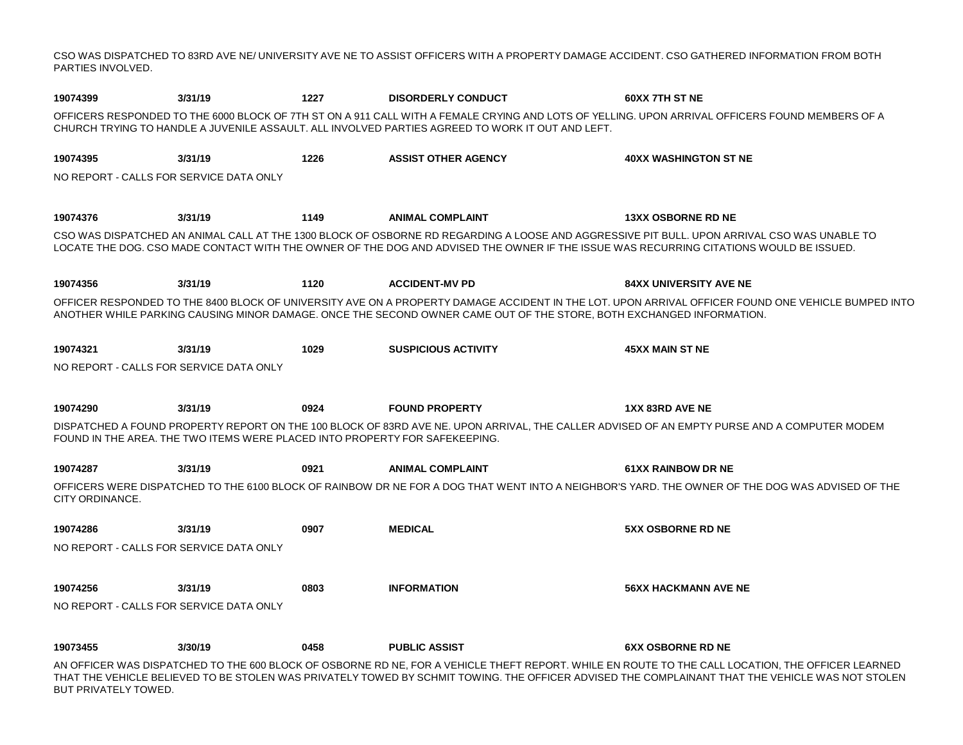CSO WAS DISPATCHED TO 83RD AVE NE/ UNIVERSITY AVE NE TO ASSIST OFFICERS WITH A PROPERTY DAMAGE ACCIDENT. CSO GATHERED INFORMATION FROM BOTH PARTIES INVOLVED.

| 19074399                                | 3/31/19                                                                     | 1227 | <b>DISORDERLY CONDUCT</b>                                                                                            | 60XX 7TH ST NE                                                                                                                                                                                                                                                                                        |
|-----------------------------------------|-----------------------------------------------------------------------------|------|----------------------------------------------------------------------------------------------------------------------|-------------------------------------------------------------------------------------------------------------------------------------------------------------------------------------------------------------------------------------------------------------------------------------------------------|
|                                         |                                                                             |      | CHURCH TRYING TO HANDLE A JUVENILE ASSAULT. ALL INVOLVED PARTIES AGREED TO WORK IT OUT AND LEFT.                     | OFFICERS RESPONDED TO THE 6000 BLOCK OF 7TH ST ON A 911 CALL WITH A FEMALE CRYING AND LOTS OF YELLING. UPON ARRIVAL OFFICERS FOUND MEMBERS OF A                                                                                                                                                       |
| 19074395                                | 3/31/19                                                                     | 1226 | <b>ASSIST OTHER AGENCY</b>                                                                                           | <b>40XX WASHINGTON ST NE</b>                                                                                                                                                                                                                                                                          |
| NO REPORT - CALLS FOR SERVICE DATA ONLY |                                                                             |      |                                                                                                                      |                                                                                                                                                                                                                                                                                                       |
| 19074376                                | 3/31/19                                                                     | 1149 | <b>ANIMAL COMPLAINT</b>                                                                                              | <b>13XX OSBORNE RD NE</b>                                                                                                                                                                                                                                                                             |
|                                         |                                                                             |      |                                                                                                                      | CSO WAS DISPATCHED AN ANIMAL CALL AT THE 1300 BLOCK OF OSBORNE RD REGARDING A LOOSE AND AGGRESSIVE PIT BULL. UPON ARRIVAL CSO WAS UNABLE TO<br>LOCATE THE DOG. CSO MADE CONTACT WITH THE OWNER OF THE DOG AND ADVISED THE OWNER IF THE ISSUE WAS RECURRING CITATIONS WOULD BE ISSUED.                 |
| 19074356                                | 3/31/19                                                                     | 1120 | <b>ACCIDENT-MV PD</b>                                                                                                | <b>84XX UNIVERSITY AVE NE</b>                                                                                                                                                                                                                                                                         |
|                                         |                                                                             |      | ANOTHER WHILE PARKING CAUSING MINOR DAMAGE. ONCE THE SECOND OWNER CAME OUT OF THE STORE, BOTH EXCHANGED INFORMATION. | OFFICER RESPONDED TO THE 8400 BLOCK OF UNIVERSITY AVE ON A PROPERTY DAMAGE ACCIDENT IN THE LOT. UPON ARRIVAL OFFICER FOUND ONE VEHICLE BUMPED INTO                                                                                                                                                    |
| 19074321                                | 3/31/19                                                                     | 1029 | <b>SUSPICIOUS ACTIVITY</b>                                                                                           | <b>45XX MAIN ST NE</b>                                                                                                                                                                                                                                                                                |
| NO REPORT - CALLS FOR SERVICE DATA ONLY |                                                                             |      |                                                                                                                      |                                                                                                                                                                                                                                                                                                       |
| 19074290                                | 3/31/19                                                                     | 0924 | <b>FOUND PROPERTY</b>                                                                                                | 1XX 83RD AVE NE                                                                                                                                                                                                                                                                                       |
|                                         | FOUND IN THE AREA. THE TWO ITEMS WERE PLACED INTO PROPERTY FOR SAFEKEEPING. |      |                                                                                                                      | DISPATCHED A FOUND PROPERTY REPORT ON THE 100 BLOCK OF 83RD AVE NE. UPON ARRIVAL, THE CALLER ADVISED OF AN EMPTY PURSE AND A COMPUTER MODEM                                                                                                                                                           |
| 19074287                                | 3/31/19                                                                     | 0921 | <b>ANIMAL COMPLAINT</b>                                                                                              | <b>61XX RAINBOW DR NE</b>                                                                                                                                                                                                                                                                             |
| CITY ORDINANCE.                         |                                                                             |      |                                                                                                                      | OFFICERS WERE DISPATCHED TO THE 6100 BLOCK OF RAINBOW DR NE FOR A DOG THAT WENT INTO A NEIGHBOR'S YARD. THE OWNER OF THE DOG WAS ADVISED OF THE                                                                                                                                                       |
| 19074286                                | 3/31/19                                                                     | 0907 | <b>MEDICAL</b>                                                                                                       | <b>5XX OSBORNE RD NE</b>                                                                                                                                                                                                                                                                              |
| NO REPORT - CALLS FOR SERVICE DATA ONLY |                                                                             |      |                                                                                                                      |                                                                                                                                                                                                                                                                                                       |
| 19074256                                | 3/31/19                                                                     | 0803 | <b>INFORMATION</b>                                                                                                   | <b>56XX HACKMANN AVE NE</b>                                                                                                                                                                                                                                                                           |
| NO REPORT - CALLS FOR SERVICE DATA ONLY |                                                                             |      |                                                                                                                      |                                                                                                                                                                                                                                                                                                       |
| 19073455                                | 3/30/19                                                                     | 0458 | <b>PUBLIC ASSIST</b>                                                                                                 | <b>6XX OSBORNE RD NE</b>                                                                                                                                                                                                                                                                              |
|                                         |                                                                             |      |                                                                                                                      | AN OFFICER WAS DISPATCHED TO THE 600 BLOCK OF OSBORNE RD NE, FOR A VEHICLE THEFT REPORT. WHILE EN ROUTE TO THE CALL LOCATION, THE OFFICER LEARNED<br>THAT THE VEHICLE BELIEVED TO BE STOLEN WAS PRIVATELY TOWED BY SCHMIT TOWING. THE OFFICER ADVISED THE COMPLAINANT THAT THE VEHICLE WAS NOT STOLEN |

BUT PRIVATELY TOWED.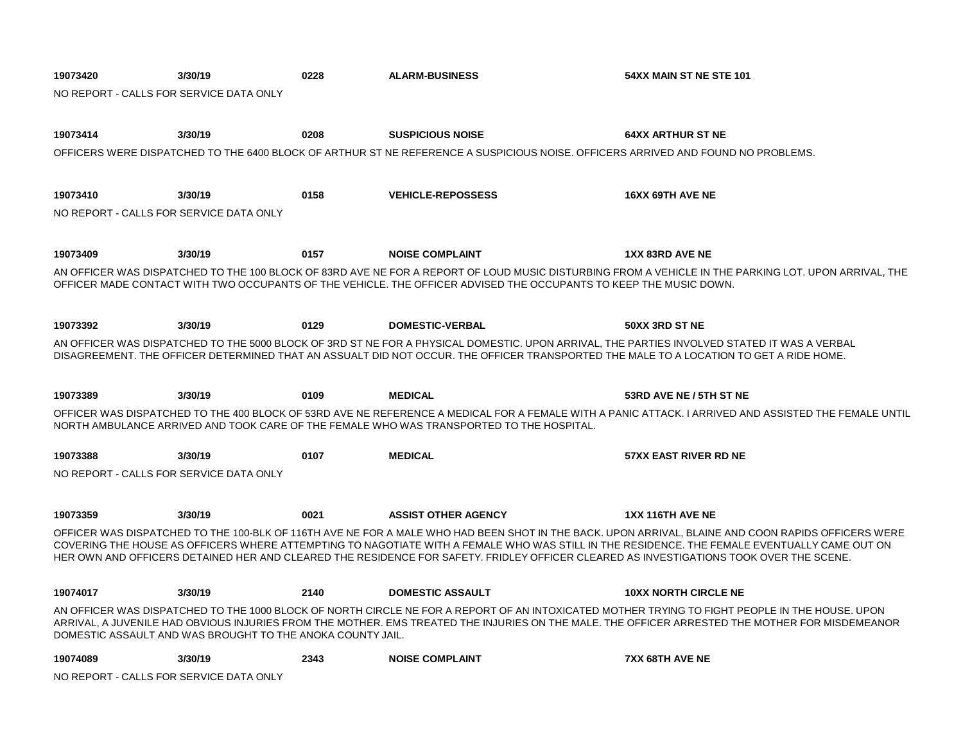| 19073420                                | 3/30/19                                                    | 0228 | <b>ALARM-BUSINESS</b>                                                                                                                  | 54XX MAIN ST NE STE 101                                                                                                                              |
|-----------------------------------------|------------------------------------------------------------|------|----------------------------------------------------------------------------------------------------------------------------------------|------------------------------------------------------------------------------------------------------------------------------------------------------|
| NO REPORT - CALLS FOR SERVICE DATA ONLY |                                                            |      |                                                                                                                                        |                                                                                                                                                      |
|                                         |                                                            |      |                                                                                                                                        |                                                                                                                                                      |
| 19073414                                | 3/30/19                                                    | 0208 | <b>SUSPICIOUS NOISE</b>                                                                                                                | <b>64XX ARTHUR ST NE</b>                                                                                                                             |
|                                         |                                                            |      | OFFICERS WERE DISPATCHED TO THE 6400 BLOCK OF ARTHUR ST NE REFERENCE A SUSPICIOUS NOISE. OFFICERS ARRIVED AND FOUND NO PROBLEMS.       |                                                                                                                                                      |
|                                         |                                                            |      |                                                                                                                                        |                                                                                                                                                      |
| 19073410                                | 3/30/19                                                    | 0158 | <b>VEHICLE-REPOSSESS</b>                                                                                                               | 16XX 69TH AVE NE                                                                                                                                     |
| NO REPORT - CALLS FOR SERVICE DATA ONLY |                                                            |      |                                                                                                                                        |                                                                                                                                                      |
|                                         |                                                            |      |                                                                                                                                        |                                                                                                                                                      |
| 19073409                                | 3/30/19                                                    | 0157 | <b>NOISE COMPLAINT</b>                                                                                                                 | <b>1XX 83RD AVE NE</b>                                                                                                                               |
|                                         |                                                            |      |                                                                                                                                        | AN OFFICER WAS DISPATCHED TO THE 100 BLOCK OF 83RD AVE NE FOR A REPORT OF LOUD MUSIC DISTURBING FROM A VEHICLE IN THE PARKING LOT. UPON ARRIVAL. THE |
|                                         |                                                            |      | OFFICER MADE CONTACT WITH TWO OCCUPANTS OF THE VEHICLE. THE OFFICER ADVISED THE OCCUPANTS TO KEEP THE MUSIC DOWN.                      |                                                                                                                                                      |
|                                         |                                                            |      |                                                                                                                                        |                                                                                                                                                      |
| 19073392                                | 3/30/19                                                    | 0129 | <b>DOMESTIC-VERBAL</b>                                                                                                                 | 50XX 3RD ST NE                                                                                                                                       |
|                                         |                                                            |      |                                                                                                                                        | AN OFFICER WAS DISPATCHED TO THE 5000 BLOCK OF 3RD ST NE FOR A PHYSICAL DOMESTIC. UPON ARRIVAL. THE PARTIES INVOLVED STATED IT WAS A VERBAL          |
|                                         |                                                            |      | DISAGREEMENT. THE OFFICER DETERMINED THAT AN ASSUALT DID NOT OCCUR. THE OFFICER TRANSPORTED THE MALE TO A LOCATION TO GET A RIDE HOME. |                                                                                                                                                      |
|                                         |                                                            |      |                                                                                                                                        |                                                                                                                                                      |
| 19073389                                | 3/30/19                                                    | 0109 | <b>MEDICAL</b>                                                                                                                         | 53RD AVE NE / 5TH ST NE                                                                                                                              |
|                                         |                                                            |      | NORTH AMBULANCE ARRIVED AND TOOK CARE OF THE FEMALE WHO WAS TRANSPORTED TO THE HOSPITAL.                                               | OFFICER WAS DISPATCHED TO THE 400 BLOCK OF 53RD AVE NE REFERENCE A MEDICAL FOR A FEMALE WITH A PANIC ATTACK. I ARRIVED AND ASSISTED THE FEMALE UNTIL |
|                                         |                                                            |      |                                                                                                                                        |                                                                                                                                                      |
| 19073388                                | 3/30/19                                                    | 0107 | <b>MEDICAL</b>                                                                                                                         | <b>57XX EAST RIVER RD NE</b>                                                                                                                         |
| NO REPORT - CALLS FOR SERVICE DATA ONLY |                                                            |      |                                                                                                                                        |                                                                                                                                                      |
|                                         |                                                            |      |                                                                                                                                        |                                                                                                                                                      |
| 19073359                                | 3/30/19                                                    | 0021 | <b>ASSIST OTHER AGENCY</b>                                                                                                             | 1XX 116TH AVE NE                                                                                                                                     |
|                                         |                                                            |      |                                                                                                                                        | OFFICER WAS DISPATCHED TO THE 100-BLK OF 116TH AVE NE FOR A MALE WHO HAD BEEN SHOT IN THE BACK. UPON ARRIVAL, BLAINE AND COON RAPIDS OFFICERS WERE   |
|                                         |                                                            |      | HER OWN AND OFFICERS DETAINED HER AND CLEARED THE RESIDENCE FOR SAFETY. FRIDLEY OFFICER CLEARED AS INVESTIGATIONS TOOK OVER THE SCENE. | COVERING THE HOUSE AS OFFICERS WHERE ATTEMPTING TO NAGOTIATE WITH A FEMALE WHO WAS STILL IN THE RESIDENCE. THE FEMALE EVENTUALLY CAME OUT ON         |
|                                         |                                                            |      |                                                                                                                                        |                                                                                                                                                      |
| 19074017                                | 3/30/19                                                    | 2140 | <b>DOMESTIC ASSAULT</b>                                                                                                                | <b>10XX NORTH CIRCLE NE</b>                                                                                                                          |
|                                         |                                                            |      |                                                                                                                                        | AN OFFICER WAS DISPATCHED TO THE 1000 BLOCK OF NORTH CIRCLE NE FOR A REPORT OF AN INTOXICATED MOTHER TRYING TO FIGHT PEOPLE IN THE HOUSE. UPON       |
|                                         | DOMESTIC ASSAULT AND WAS BROUGHT TO THE ANOKA COUNTY JAIL. |      |                                                                                                                                        | ARRIVAL, A JUVENILE HAD OBVIOUS INJURIES FROM THE MOTHER. EMS TREATED THE INJURIES ON THE MALE. THE OFFICER ARRESTED THE MOTHER FOR MISDEMEANOR      |
|                                         |                                                            |      |                                                                                                                                        |                                                                                                                                                      |
| 19074089                                | 3/30/19                                                    | 2343 | <b>NOISE COMPLAINT</b>                                                                                                                 | 7XX 68TH AVE NE                                                                                                                                      |
|                                         | NO REPORT - CALLS FOR SERVICE DATA ONLY                    |      |                                                                                                                                        |                                                                                                                                                      |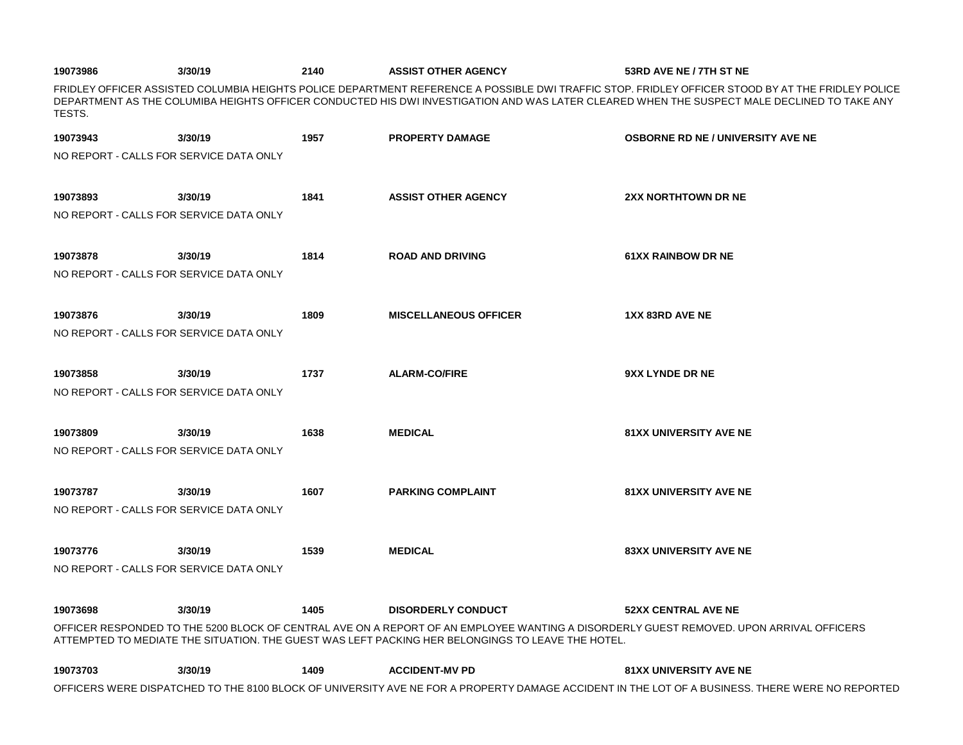| 19073986                                | 3/30/19 | 2140 | <b>ASSIST OTHER AGENCY</b>   | 53RD AVE NE / 7TH ST NE                                                                                                                                                                                                                                                                          |
|-----------------------------------------|---------|------|------------------------------|--------------------------------------------------------------------------------------------------------------------------------------------------------------------------------------------------------------------------------------------------------------------------------------------------|
| TESTS.                                  |         |      |                              | FRIDLEY OFFICER ASSISTED COLUMBIA HEIGHTS POLICE DEPARTMENT REFERENCE A POSSIBLE DWI TRAFFIC STOP. FRIDLEY OFFICER STOOD BY AT THE FRIDLEY POLICE<br>DEPARTMENT AS THE COLUMIBA HEIGHTS OFFICER CONDUCTED HIS DWI INVESTIGATION AND WAS LATER CLEARED WHEN THE SUSPECT MALE DECLINED TO TAKE ANY |
| 19073943                                | 3/30/19 | 1957 | <b>PROPERTY DAMAGE</b>       | <b>OSBORNE RD NE / UNIVERSITY AVE NE</b>                                                                                                                                                                                                                                                         |
| NO REPORT - CALLS FOR SERVICE DATA ONLY |         |      |                              |                                                                                                                                                                                                                                                                                                  |
| 19073893                                | 3/30/19 | 1841 | <b>ASSIST OTHER AGENCY</b>   | <b>2XX NORTHTOWN DR NE</b>                                                                                                                                                                                                                                                                       |
| NO REPORT - CALLS FOR SERVICE DATA ONLY |         |      |                              |                                                                                                                                                                                                                                                                                                  |
| 19073878                                | 3/30/19 | 1814 | <b>ROAD AND DRIVING</b>      | <b>61XX RAINBOW DR NE</b>                                                                                                                                                                                                                                                                        |
| NO REPORT - CALLS FOR SERVICE DATA ONLY |         |      |                              |                                                                                                                                                                                                                                                                                                  |
| 19073876                                | 3/30/19 | 1809 | <b>MISCELLANEOUS OFFICER</b> | 1XX 83RD AVE NE                                                                                                                                                                                                                                                                                  |
| NO REPORT - CALLS FOR SERVICE DATA ONLY |         |      |                              |                                                                                                                                                                                                                                                                                                  |
| 19073858                                | 3/30/19 | 1737 | <b>ALARM-CO/FIRE</b>         | 9XX LYNDE DR NE                                                                                                                                                                                                                                                                                  |
| NO REPORT - CALLS FOR SERVICE DATA ONLY |         |      |                              |                                                                                                                                                                                                                                                                                                  |
| 19073809                                | 3/30/19 | 1638 | <b>MEDICAL</b>               | <b>81XX UNIVERSITY AVE NE</b>                                                                                                                                                                                                                                                                    |
| NO REPORT - CALLS FOR SERVICE DATA ONLY |         |      |                              |                                                                                                                                                                                                                                                                                                  |
| 19073787                                | 3/30/19 | 1607 | <b>PARKING COMPLAINT</b>     | <b>81XX UNIVERSITY AVE NE</b>                                                                                                                                                                                                                                                                    |
| NO REPORT - CALLS FOR SERVICE DATA ONLY |         |      |                              |                                                                                                                                                                                                                                                                                                  |
|                                         |         |      |                              |                                                                                                                                                                                                                                                                                                  |
| 19073776                                | 3/30/19 | 1539 | <b>MEDICAL</b>               | <b>83XX UNIVERSITY AVE NE</b>                                                                                                                                                                                                                                                                    |
| NO REPORT - CALLS FOR SERVICE DATA ONLY |         |      |                              |                                                                                                                                                                                                                                                                                                  |

| 19073698 | 3/30/19 | 1405 | DISORDERLY CONDUCT                                                                                | <b>52XX CENTRAL AVE NE</b>                                                                                                              |
|----------|---------|------|---------------------------------------------------------------------------------------------------|-----------------------------------------------------------------------------------------------------------------------------------------|
|          |         |      |                                                                                                   | OFFICER RESPONDED TO THE 5200 BLOCK OF CENTRAL AVE ON A REPORT OF AN EMPLOYEE WANTING A DISORDERLY GUEST REMOVED. UPON ARRIVAL OFFICERS |
|          |         |      | ATTEMPTED TO MEDIATE THE SITUATION. THE GUEST WAS LEFT PACKING HER BELONGINGS TO LEAVE THE HOTEL. |                                                                                                                                         |

| 19073703 | 3/30/19 | 1409 | <b>ACCIDENT-MV PD</b> | <b>81XX UNIVERSITY AVE NE</b>                                                                                                                   |
|----------|---------|------|-----------------------|-------------------------------------------------------------------------------------------------------------------------------------------------|
|          |         |      |                       | OFFICERS WERE DISPATCHED TO THE 8100 BLOCK OF UNIVERSITY AVE NE FOR A PROPERTY DAMAGE ACCIDENT IN THE LOT OF A BUSINESS. THERE WERE NO REPORTED |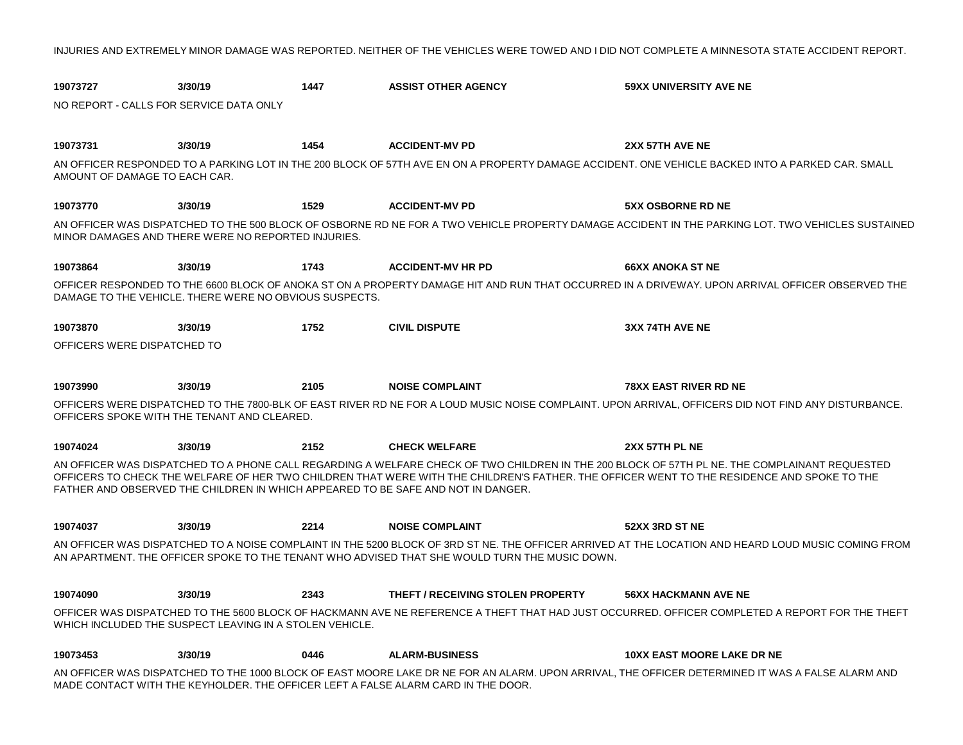INJURIES AND EXTREMELY MINOR DAMAGE WAS REPORTED. NEITHER OF THE VEHICLES WERE TOWED AND I DID NOT COMPLETE A MINNESOTA STATE ACCIDENT REPORT.

| 19073727                                | 3/30/19                                                 | 1447 | <b>ASSIST OTHER AGENCY</b>                                                                    | <b>59XX UNIVERSITY AVE NE</b>                                                                                                                                                                                                                                                               |
|-----------------------------------------|---------------------------------------------------------|------|-----------------------------------------------------------------------------------------------|---------------------------------------------------------------------------------------------------------------------------------------------------------------------------------------------------------------------------------------------------------------------------------------------|
| NO REPORT - CALLS FOR SERVICE DATA ONLY |                                                         |      |                                                                                               |                                                                                                                                                                                                                                                                                             |
|                                         |                                                         |      |                                                                                               |                                                                                                                                                                                                                                                                                             |
| 19073731                                | 3/30/19                                                 | 1454 | <b>ACCIDENT-MV PD</b>                                                                         | 2XX 57TH AVE NE                                                                                                                                                                                                                                                                             |
| AMOUNT OF DAMAGE TO EACH CAR.           |                                                         |      |                                                                                               | AN OFFICER RESPONDED TO A PARKING LOT IN THE 200 BLOCK OF 57TH AVE EN ON A PROPERTY DAMAGE ACCIDENT. ONE VEHICLE BACKED INTO A PARKED CAR. SMALL                                                                                                                                            |
| 19073770                                | 3/30/19                                                 | 1529 | <b>ACCIDENT-MV PD</b>                                                                         | <b>5XX OSBORNE RD NE</b>                                                                                                                                                                                                                                                                    |
|                                         | MINOR DAMAGES AND THERE WERE NO REPORTED INJURIES.      |      |                                                                                               | AN OFFICER WAS DISPATCHED TO THE 500 BLOCK OF OSBORNE RD NE FOR A TWO VEHICLE PROPERTY DAMAGE ACCIDENT IN THE PARKING LOT. TWO VEHICLES SUSTAINED                                                                                                                                           |
| 19073864                                | 3/30/19                                                 | 1743 | <b>ACCIDENT-MV HR PD</b>                                                                      | <b>66XX ANOKA ST NE</b>                                                                                                                                                                                                                                                                     |
|                                         | DAMAGE TO THE VEHICLE. THERE WERE NO OBVIOUS SUSPECTS.  |      |                                                                                               | OFFICER RESPONDED TO THE 6600 BLOCK OF ANOKA ST ON A PROPERTY DAMAGE HIT AND RUN THAT OCCURRED IN A DRIVEWAY. UPON ARRIVAL OFFICER OBSERVED THE                                                                                                                                             |
| 19073870                                | 3/30/19                                                 | 1752 | <b>CIVIL DISPUTE</b>                                                                          | 3XX 74TH AVE NE                                                                                                                                                                                                                                                                             |
| OFFICERS WERE DISPATCHED TO             |                                                         |      |                                                                                               |                                                                                                                                                                                                                                                                                             |
|                                         |                                                         |      |                                                                                               |                                                                                                                                                                                                                                                                                             |
| 19073990                                | 3/30/19                                                 | 2105 | <b>NOISE COMPLAINT</b>                                                                        | <b>78XX EAST RIVER RD NE</b>                                                                                                                                                                                                                                                                |
|                                         | OFFICERS SPOKE WITH THE TENANT AND CLEARED.             |      |                                                                                               | OFFICERS WERE DISPATCHED TO THE 7800-BLK OF EAST RIVER RD NE FOR A LOUD MUSIC NOISE COMPLAINT. UPON ARRIVAL, OFFICERS DID NOT FIND ANY DISTURBANCE.                                                                                                                                         |
| 19074024                                | 3/30/19                                                 | 2152 | <b>CHECK WELFARE</b>                                                                          | 2XX 57TH PL NE                                                                                                                                                                                                                                                                              |
|                                         |                                                         |      | FATHER AND OBSERVED THE CHILDREN IN WHICH APPEARED TO BE SAFE AND NOT IN DANGER.              | AN OFFICER WAS DISPATCHED TO A PHONE CALL REGARDING A WELFARE CHECK OF TWO CHILDREN IN THE 200 BLOCK OF 57TH PL NE. THE COMPLAINANT REQUESTED<br>OFFICERS TO CHECK THE WELFARE OF HER TWO CHILDREN THAT WERE WITH THE CHILDREN'S FATHER. THE OFFICER WENT TO THE RESIDENCE AND SPOKE TO THE |
| 19074037                                | 3/30/19                                                 | 2214 | <b>NOISE COMPLAINT</b>                                                                        | 52XX 3RD ST NE                                                                                                                                                                                                                                                                              |
|                                         |                                                         |      | AN APARTMENT. THE OFFICER SPOKE TO THE TENANT WHO ADVISED THAT SHE WOULD TURN THE MUSIC DOWN. | AN OFFICER WAS DISPATCHED TO A NOISE COMPLAINT IN THE 5200 BLOCK OF 3RD ST NE. THE OFFICER ARRIVED AT THE LOCATION AND HEARD LOUD MUSIC COMING FROM                                                                                                                                         |
| 19074090                                | 3/30/19                                                 | 2343 | THEFT / RECEIVING STOLEN PROPERTY                                                             | <b>56XX HACKMANN AVE NE</b>                                                                                                                                                                                                                                                                 |
|                                         | WHICH INCLUDED THE SUSPECT LEAVING IN A STOLEN VEHICLE. |      |                                                                                               | OFFICER WAS DISPATCHED TO THE 5600 BLOCK OF HACKMANN AVE NE REFERENCE A THEFT THAT HAD JUST OCCURRED. OFFICER COMPLETED A REPORT FOR THE THEFT                                                                                                                                              |
| 19073453                                | 3/30/19                                                 | 0446 | <b>ALARM-BUSINESS</b>                                                                         | <b>10XX EAST MOORE LAKE DR NE</b>                                                                                                                                                                                                                                                           |
|                                         |                                                         |      |                                                                                               | AN OFFICER WAS DISPATCHED TO THE 1000 BLOCK OF EAST MOORE LAKE DRINE FOR AN ALARM LIRON ARRIVAL. THE OFFICER DETERMINED IT WAS A FALSE ALARM AND                                                                                                                                            |

AN OFFICER WAS DISPATCHED TO THE 1000 BLOCK OF EAST MOORE LAKE DR NE FOR AN ALARM. UPON ARRIVAL, THE OFFICER DETERMINED IT WAS A FALSE ALARM AND MADE CONTACT WITH THE KEYHOLDER. THE OFFICER LEFT A FALSE ALARM CARD IN THE DOOR.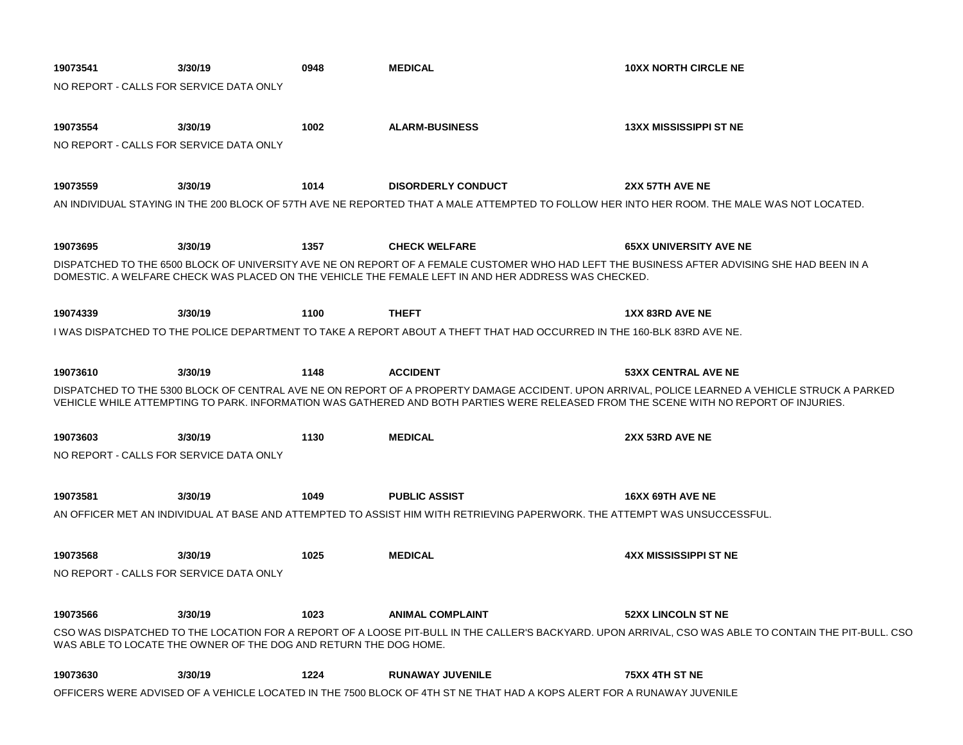| 19073541                                | 3/30/19                                                                                                                                     | 0948 | <b>MEDICAL</b>                                                                                                                       | <b>10XX NORTH CIRCLE NE</b>                                                                                                                           |  |  |
|-----------------------------------------|---------------------------------------------------------------------------------------------------------------------------------------------|------|--------------------------------------------------------------------------------------------------------------------------------------|-------------------------------------------------------------------------------------------------------------------------------------------------------|--|--|
| NO REPORT - CALLS FOR SERVICE DATA ONLY |                                                                                                                                             |      |                                                                                                                                      |                                                                                                                                                       |  |  |
|                                         |                                                                                                                                             |      |                                                                                                                                      |                                                                                                                                                       |  |  |
| 19073554                                | 3/30/19                                                                                                                                     | 1002 | <b>ALARM-BUSINESS</b>                                                                                                                | <b>13XX MISSISSIPPI ST NE</b>                                                                                                                         |  |  |
| NO REPORT - CALLS FOR SERVICE DATA ONLY |                                                                                                                                             |      |                                                                                                                                      |                                                                                                                                                       |  |  |
|                                         |                                                                                                                                             |      |                                                                                                                                      |                                                                                                                                                       |  |  |
| 19073559                                | 3/30/19                                                                                                                                     | 1014 | <b>DISORDERLY CONDUCT</b>                                                                                                            | 2XX 57TH AVE NE                                                                                                                                       |  |  |
|                                         | AN INDIVIDUAL STAYING IN THE 200 BLOCK OF 57TH AVE NE REPORTED THAT A MALE ATTEMPTED TO FOLLOW HER INTO HER ROOM. THE MALE WAS NOT LOCATED. |      |                                                                                                                                      |                                                                                                                                                       |  |  |
|                                         |                                                                                                                                             |      |                                                                                                                                      |                                                                                                                                                       |  |  |
| 19073695                                | 3/30/19                                                                                                                                     | 1357 | <b>CHECK WELFARE</b>                                                                                                                 | <b>65XX UNIVERSITY AVE NE</b>                                                                                                                         |  |  |
|                                         |                                                                                                                                             |      |                                                                                                                                      | DISPATCHED TO THE 6500 BLOCK OF UNIVERSITY AVE NE ON REPORT OF A FEMALE CUSTOMER WHO HAD LEFT THE BUSINESS AFTER ADVISING SHE HAD BEEN IN A           |  |  |
|                                         |                                                                                                                                             |      | DOMESTIC. A WELFARE CHECK WAS PLACED ON THE VEHICLE THE FEMALE LEFT IN AND HER ADDRESS WAS CHECKED.                                  |                                                                                                                                                       |  |  |
|                                         |                                                                                                                                             |      |                                                                                                                                      |                                                                                                                                                       |  |  |
| 19074339                                | 3/30/19                                                                                                                                     | 1100 | <b>THEFT</b>                                                                                                                         | 1XX 83RD AVE NE                                                                                                                                       |  |  |
|                                         |                                                                                                                                             |      | I WAS DISPATCHED TO THE POLICE DEPARTMENT TO TAKE A REPORT ABOUT A THEFT THAT HAD OCCURRED IN THE 160-BLK 83RD AVE NE.               |                                                                                                                                                       |  |  |
|                                         |                                                                                                                                             |      |                                                                                                                                      |                                                                                                                                                       |  |  |
| 19073610                                | 3/30/19                                                                                                                                     | 1148 | <b>ACCIDENT</b>                                                                                                                      | <b>53XX CENTRAL AVE NE</b>                                                                                                                            |  |  |
|                                         |                                                                                                                                             |      | VEHICLE WHILE ATTEMPTING TO PARK. INFORMATION WAS GATHERED AND BOTH PARTIES WERE RELEASED FROM THE SCENE WITH NO REPORT OF INJURIES. | DISPATCHED TO THE 5300 BLOCK OF CENTRAL AVE NE ON REPORT OF A PROPERTY DAMAGE ACCIDENT. UPON ARRIVAL, POLICE LEARNED A VEHICLE STRUCK A PARKED        |  |  |
| 19073603                                | 3/30/19                                                                                                                                     | 1130 | <b>MEDICAL</b>                                                                                                                       | 2XX 53RD AVE NE                                                                                                                                       |  |  |
| NO REPORT - CALLS FOR SERVICE DATA ONLY |                                                                                                                                             |      |                                                                                                                                      |                                                                                                                                                       |  |  |
|                                         |                                                                                                                                             |      |                                                                                                                                      |                                                                                                                                                       |  |  |
| 19073581                                | 3/30/19                                                                                                                                     | 1049 | <b>PUBLIC ASSIST</b>                                                                                                                 | <b>16XX 69TH AVE NE</b>                                                                                                                               |  |  |
|                                         |                                                                                                                                             |      | AN OFFICER MET AN INDIVIDUAL AT BASE AND ATTEMPTED TO ASSIST HIM WITH RETRIEVING PAPERWORK. THE ATTEMPT WAS UNSUCCESSFUL.            |                                                                                                                                                       |  |  |
|                                         |                                                                                                                                             |      |                                                                                                                                      |                                                                                                                                                       |  |  |
| 19073568                                | 3/30/19                                                                                                                                     | 1025 | <b>MEDICAL</b>                                                                                                                       | 4XX MISSISSIPPI ST NE                                                                                                                                 |  |  |
| NO REPORT - CALLS FOR SERVICE DATA ONLY |                                                                                                                                             |      |                                                                                                                                      |                                                                                                                                                       |  |  |
|                                         |                                                                                                                                             |      |                                                                                                                                      |                                                                                                                                                       |  |  |
| 19073566                                | 3/30/19                                                                                                                                     | 1023 | <b>ANIMAL COMPLAINT</b>                                                                                                              | <b>52XX LINCOLN ST NE</b>                                                                                                                             |  |  |
|                                         |                                                                                                                                             |      |                                                                                                                                      | CSO WAS DISPATCHED TO THE LOCATION FOR A REPORT OF A LOOSE PIT-BULL IN THE CALLER'S BACKYARD. UPON ARRIVAL, CSO WAS ABLE TO CONTAIN THE PIT-BULL. CSO |  |  |
|                                         | WAS ABLE TO LOCATE THE OWNER OF THE DOG AND RETURN THE DOG HOME.                                                                            |      |                                                                                                                                      |                                                                                                                                                       |  |  |
| 19073630                                | 3/30/19                                                                                                                                     | 1224 | <b>RUNAWAY JUVENILE</b>                                                                                                              | 75XX 4TH ST NE                                                                                                                                        |  |  |
|                                         |                                                                                                                                             |      | OFFICERS WERE ADVISED OF A VEHICLE LOCATED IN THE 7500 BLOCK OF 4TH ST NE THAT HAD A KOPS ALERT FOR A RUNAWAY JUVENILE               |                                                                                                                                                       |  |  |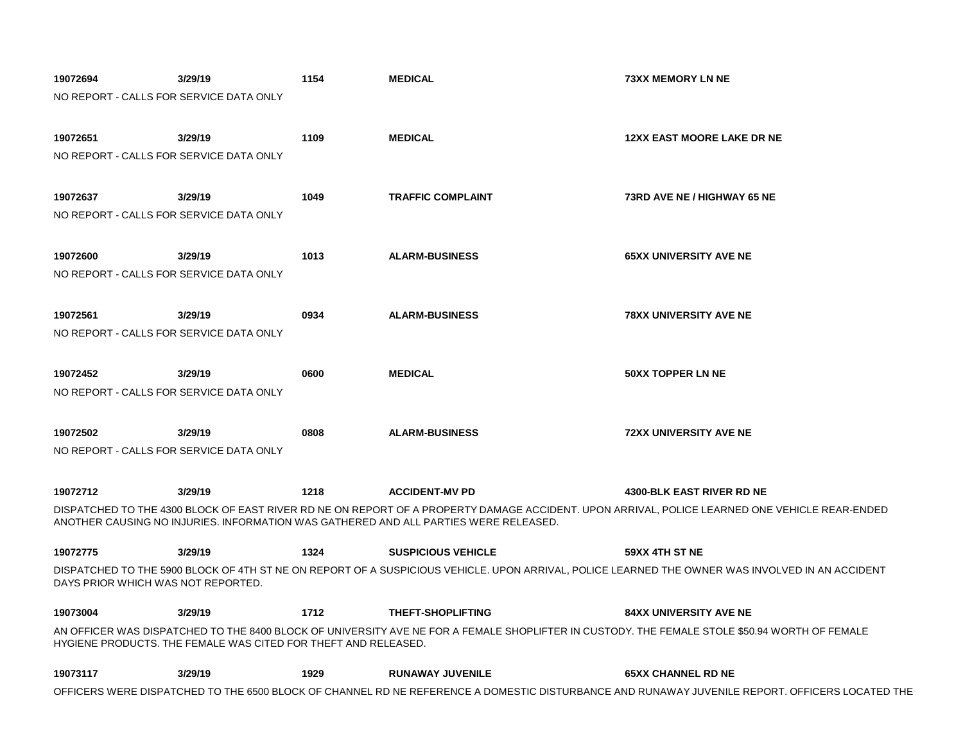| 19072694                                | 3/29/19                                                        | 1154 | <b>MEDICAL</b>                                                                       | <b>73XX MEMORY LN NE</b>                                                                                                                        |
|-----------------------------------------|----------------------------------------------------------------|------|--------------------------------------------------------------------------------------|-------------------------------------------------------------------------------------------------------------------------------------------------|
| NO REPORT - CALLS FOR SERVICE DATA ONLY |                                                                |      |                                                                                      |                                                                                                                                                 |
|                                         |                                                                |      |                                                                                      |                                                                                                                                                 |
| 19072651                                | 3/29/19                                                        | 1109 | <b>MEDICAL</b>                                                                       | <b>12XX EAST MOORE LAKE DR NE</b>                                                                                                               |
| NO REPORT - CALLS FOR SERVICE DATA ONLY |                                                                |      |                                                                                      |                                                                                                                                                 |
|                                         |                                                                |      |                                                                                      |                                                                                                                                                 |
|                                         |                                                                |      | <b>TRAFFIC COMPLAINT</b>                                                             | 73RD AVE NE / HIGHWAY 65 NE                                                                                                                     |
| 19072637                                | 3/29/19                                                        | 1049 |                                                                                      |                                                                                                                                                 |
| NO REPORT - CALLS FOR SERVICE DATA ONLY |                                                                |      |                                                                                      |                                                                                                                                                 |
|                                         |                                                                |      |                                                                                      |                                                                                                                                                 |
| 19072600                                | 3/29/19                                                        | 1013 | <b>ALARM-BUSINESS</b>                                                                | <b>65XX UNIVERSITY AVE NE</b>                                                                                                                   |
| NO REPORT - CALLS FOR SERVICE DATA ONLY |                                                                |      |                                                                                      |                                                                                                                                                 |
|                                         |                                                                |      |                                                                                      |                                                                                                                                                 |
| 19072561                                | 3/29/19                                                        | 0934 | <b>ALARM-BUSINESS</b>                                                                | <b>78XX UNIVERSITY AVE NE</b>                                                                                                                   |
| NO REPORT - CALLS FOR SERVICE DATA ONLY |                                                                |      |                                                                                      |                                                                                                                                                 |
|                                         |                                                                |      |                                                                                      |                                                                                                                                                 |
| 19072452                                | 3/29/19                                                        | 0600 | <b>MEDICAL</b>                                                                       | <b>50XX TOPPER LN NE</b>                                                                                                                        |
| NO REPORT - CALLS FOR SERVICE DATA ONLY |                                                                |      |                                                                                      |                                                                                                                                                 |
|                                         |                                                                |      |                                                                                      |                                                                                                                                                 |
| 19072502                                | 3/29/19                                                        | 0808 | <b>ALARM-BUSINESS</b>                                                                | <b>72XX UNIVERSITY AVE NE</b>                                                                                                                   |
| NO REPORT - CALLS FOR SERVICE DATA ONLY |                                                                |      |                                                                                      |                                                                                                                                                 |
|                                         |                                                                |      |                                                                                      |                                                                                                                                                 |
|                                         |                                                                |      |                                                                                      |                                                                                                                                                 |
| 19072712                                | 3/29/19                                                        | 1218 | <b>ACCIDENT-MV PD</b>                                                                | <b>4300-BLK EAST RIVER RD NE</b>                                                                                                                |
|                                         |                                                                |      | ANOTHER CAUSING NO INJURIES. INFORMATION WAS GATHERED AND ALL PARTIES WERE RELEASED. | DISPATCHED TO THE 4300 BLOCK OF EAST RIVER RD NE ON REPORT OF A PROPERTY DAMAGE ACCIDENT. UPON ARRIVAL, POLICE LEARNED ONE VEHICLE REAR-ENDED   |
|                                         |                                                                |      |                                                                                      |                                                                                                                                                 |
| 19072775                                | 3/29/19                                                        | 1324 | <b>SUSPICIOUS VEHICLE</b>                                                            | 59XX 4TH ST NE                                                                                                                                  |
|                                         |                                                                |      |                                                                                      | DISPATCHED TO THE 5900 BLOCK OF 4TH ST NE ON REPORT OF A SUSPICIOUS VEHICLE. UPON ARRIVAL, POLICE LEARNED THE OWNER WAS INVOLVED IN AN ACCIDENT |
| DAYS PRIOR WHICH WAS NOT REPORTED.      |                                                                |      |                                                                                      |                                                                                                                                                 |
| 19073004                                | 3/29/19                                                        | 1712 | <b>THEFT-SHOPLIFTING</b>                                                             | <b>84XX UNIVERSITY AVE NE</b>                                                                                                                   |
|                                         |                                                                |      |                                                                                      | AN OFFICER WAS DISPATCHED TO THE 8400 BLOCK OF UNIVERSITY AVE NE FOR A FEMALE SHOPLIFTER IN CUSTODY. THE FEMALE STOLE \$50.94 WORTH OF FEMALE   |
|                                         | HYGIENE PRODUCTS. THE FEMALE WAS CITED FOR THEFT AND RELEASED. |      |                                                                                      |                                                                                                                                                 |
|                                         |                                                                |      |                                                                                      |                                                                                                                                                 |
| 19073117                                | 3/29/19                                                        | 1929 | <b>RUNAWAY JUVENILE</b>                                                              | <b>65XX CHANNEL RD NE</b>                                                                                                                       |
|                                         |                                                                |      |                                                                                      | OFFICERS WERE DISPATCHED TO THE 6500 BLOCK OF CHANNEL RD NE REFERENCE A DOMESTIC DISTURBANCE AND RUNAWAY JUVENILE REPORT. OFFICERS LOCATED THE  |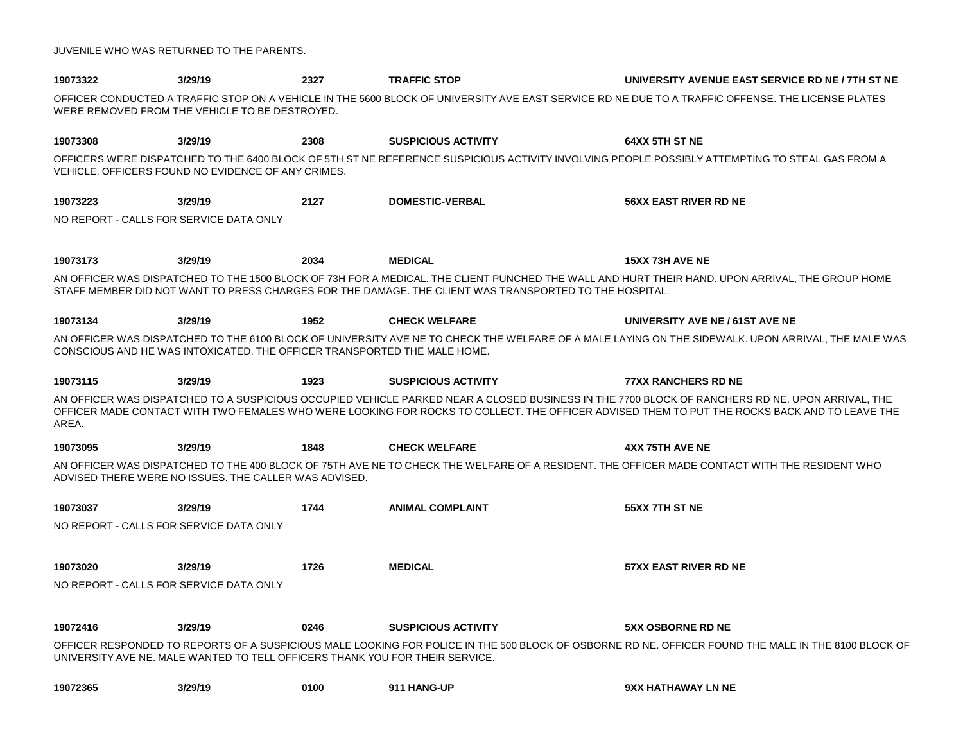| JUVENILE WHO WAS RETURNED TO THE PARENTS. |  |  |
|-------------------------------------------|--|--|
|-------------------------------------------|--|--|

| 19073322                                | 3/29/19                                                                      | 2327 | <b>TRAFFIC STOP</b>                                                                                    | UNIVERSITY AVENUE EAST SERVICE RD NE / 7TH ST NE                                                                                                                                                                                                                                                |
|-----------------------------------------|------------------------------------------------------------------------------|------|--------------------------------------------------------------------------------------------------------|-------------------------------------------------------------------------------------------------------------------------------------------------------------------------------------------------------------------------------------------------------------------------------------------------|
|                                         | WERE REMOVED FROM THE VEHICLE TO BE DESTROYED.                               |      |                                                                                                        | OFFICER CONDUCTED A TRAFFIC STOP ON A VEHICLE IN THE 5600 BLOCK OF UNIVERSITY AVE EAST SERVICE RD NE DUE TO A TRAFFIC OFFENSE. THE LICENSE PLATES                                                                                                                                               |
| 19073308                                | 3/29/19                                                                      | 2308 | <b>SUSPICIOUS ACTIVITY</b>                                                                             | 64XX 5TH ST NE                                                                                                                                                                                                                                                                                  |
|                                         | VEHICLE. OFFICERS FOUND NO EVIDENCE OF ANY CRIMES.                           |      |                                                                                                        | OFFICERS WERE DISPATCHED TO THE 6400 BLOCK OF 5TH ST NE REFERENCE SUSPICIOUS ACTIVITY INVOLVING PEOPLE POSSIBLY ATTEMPTING TO STEAL GAS FROM A                                                                                                                                                  |
| 19073223                                | 3/29/19                                                                      | 2127 | <b>DOMESTIC-VERBAL</b>                                                                                 | <b>56XX EAST RIVER RD NE</b>                                                                                                                                                                                                                                                                    |
| NO REPORT - CALLS FOR SERVICE DATA ONLY |                                                                              |      |                                                                                                        |                                                                                                                                                                                                                                                                                                 |
| 19073173                                | 3/29/19                                                                      | 2034 | <b>MEDICAL</b>                                                                                         | <b>15XX 73H AVE NE</b>                                                                                                                                                                                                                                                                          |
|                                         |                                                                              |      | STAFF MEMBER DID NOT WANT TO PRESS CHARGES FOR THE DAMAGE. THE CLIENT WAS TRANSPORTED TO THE HOSPITAL. | AN OFFICER WAS DISPATCHED TO THE 1500 BLOCK OF 73H FOR A MEDICAL. THE CLIENT PUNCHED THE WALL AND HURT THEIR HAND. UPON ARRIVAL. THE GROUP HOME                                                                                                                                                 |
| 19073134                                | 3/29/19                                                                      | 1952 | <b>CHECK WELFARE</b>                                                                                   | UNIVERSITY AVE NE / 61ST AVE NE                                                                                                                                                                                                                                                                 |
|                                         | CONSCIOUS AND HE WAS INTOXICATED. THE OFFICER TRANSPORTED THE MALE HOME.     |      |                                                                                                        | AN OFFICER WAS DISPATCHED TO THE 6100 BLOCK OF UNIVERSITY AVE NE TO CHECK THE WELFARE OF A MALE LAYING ON THE SIDEWALK. UPON ARRIVAL, THE MALE WAS                                                                                                                                              |
| 19073115                                | 3/29/19                                                                      | 1923 | <b>SUSPICIOUS ACTIVITY</b>                                                                             | <b>77XX RANCHERS RD NE</b>                                                                                                                                                                                                                                                                      |
| AREA.                                   |                                                                              |      |                                                                                                        | AN OFFICER WAS DISPATCHED TO A SUSPICIOUS OCCUPIED VEHICLE PARKED NEAR A CLOSED BUSINESS IN THE 7700 BLOCK OF RANCHERS RD NE. UPON ARRIVAL. THE<br>OFFICER MADE CONTACT WITH TWO FEMALES WHO WERE LOOKING FOR ROCKS TO COLLECT. THE OFFICER ADVISED THEM TO PUT THE ROCKS BACK AND TO LEAVE THE |
| 19073095                                | 3/29/19                                                                      | 1848 | <b>CHECK WELFARE</b>                                                                                   | <b>4XX 75TH AVE NE</b>                                                                                                                                                                                                                                                                          |
|                                         | ADVISED THERE WERE NO ISSUES. THE CALLER WAS ADVISED.                        |      |                                                                                                        | AN OFFICER WAS DISPATCHED TO THE 400 BLOCK OF 75TH AVE NE TO CHECK THE WELFARE OF A RESIDENT. THE OFFICER MADE CONTACT WITH THE RESIDENT WHO                                                                                                                                                    |
| 19073037                                | 3/29/19                                                                      | 1744 | <b>ANIMAL COMPLAINT</b>                                                                                | 55XX 7TH ST NE                                                                                                                                                                                                                                                                                  |
| NO REPORT - CALLS FOR SERVICE DATA ONLY |                                                                              |      |                                                                                                        |                                                                                                                                                                                                                                                                                                 |
| 19073020                                | 3/29/19                                                                      | 1726 | <b>MEDICAL</b>                                                                                         | <b>57XX EAST RIVER RD NE</b>                                                                                                                                                                                                                                                                    |
| NO REPORT - CALLS FOR SERVICE DATA ONLY |                                                                              |      |                                                                                                        |                                                                                                                                                                                                                                                                                                 |
| 19072416                                | 3/29/19                                                                      | 0246 | <b>SUSPICIOUS ACTIVITY</b>                                                                             | <b>5XX OSBORNE RD NE</b>                                                                                                                                                                                                                                                                        |
|                                         | UNIVERSITY AVE NE. MALE WANTED TO TELL OFFICERS THANK YOU FOR THEIR SERVICE. |      |                                                                                                        | OFFICER RESPONDED TO REPORTS OF A SUSPICIOUS MALE LOOKING FOR POLICE IN THE 500 BLOCK OF OSBORNE RD NE. OFFICER FOUND THE MALE IN THE 8100 BLOCK OF                                                                                                                                             |
| 19072365                                | 3/29/19                                                                      | 0100 | 911 HANG-UP                                                                                            | 9XX HATHAWAY LN NE                                                                                                                                                                                                                                                                              |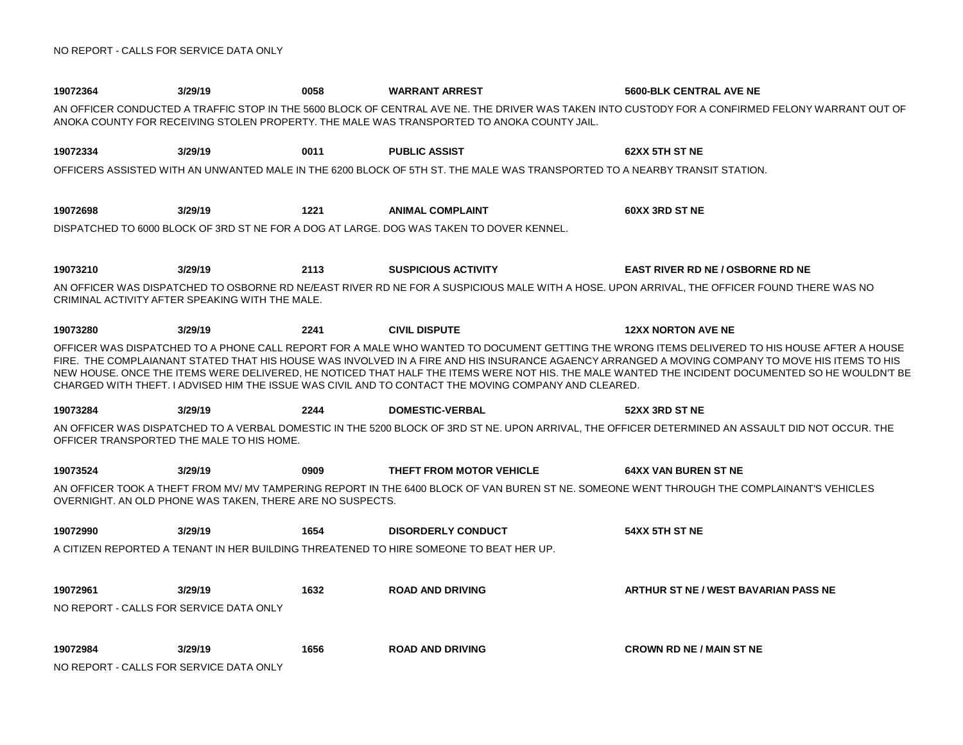| 19072364                                | 3/29/19                                                   | 0058 | <b>WARRANT ARREST</b>                                                                                                      | 5600-BLK CENTRAL AVE NE                                                                                                                                                                                                                                                                                                                                                                                                                              |
|-----------------------------------------|-----------------------------------------------------------|------|----------------------------------------------------------------------------------------------------------------------------|------------------------------------------------------------------------------------------------------------------------------------------------------------------------------------------------------------------------------------------------------------------------------------------------------------------------------------------------------------------------------------------------------------------------------------------------------|
|                                         |                                                           |      | ANOKA COUNTY FOR RECEIVING STOLEN PROPERTY. THE MALE WAS TRANSPORTED TO ANOKA COUNTY JAIL.                                 | AN OFFICER CONDUCTED A TRAFFIC STOP IN THE 5600 BLOCK OF CENTRAL AVE NE. THE DRIVER WAS TAKEN INTO CUSTODY FOR A CONFIRMED FELONY WARRANT OUT OF                                                                                                                                                                                                                                                                                                     |
| 19072334                                | 3/29/19                                                   | 0011 | <b>PUBLIC ASSIST</b>                                                                                                       | 62XX 5TH ST NE                                                                                                                                                                                                                                                                                                                                                                                                                                       |
|                                         |                                                           |      | OFFICERS ASSISTED WITH AN UNWANTED MALE IN THE 6200 BLOCK OF 5TH ST. THE MALE WAS TRANSPORTED TO A NEARBY TRANSIT STATION. |                                                                                                                                                                                                                                                                                                                                                                                                                                                      |
| 19072698                                | 3/29/19                                                   | 1221 | <b>ANIMAL COMPLAINT</b>                                                                                                    | 60XX 3RD ST NE                                                                                                                                                                                                                                                                                                                                                                                                                                       |
|                                         |                                                           |      | DISPATCHED TO 6000 BLOCK OF 3RD ST NE FOR A DOG AT LARGE. DOG WAS TAKEN TO DOVER KENNEL.                                   |                                                                                                                                                                                                                                                                                                                                                                                                                                                      |
| 19073210                                | 3/29/19                                                   | 2113 | <b>SUSPICIOUS ACTIVITY</b>                                                                                                 | <b>EAST RIVER RD NE / OSBORNE RD NE</b>                                                                                                                                                                                                                                                                                                                                                                                                              |
|                                         | CRIMINAL ACTIVITY AFTER SPEAKING WITH THE MALE.           |      |                                                                                                                            | AN OFFICER WAS DISPATCHED TO OSBORNE RD NE/EAST RIVER RD NE FOR A SUSPICIOUS MALE WITH A HOSE. UPON ARRIVAL. THE OFFICER FOUND THERE WAS NO                                                                                                                                                                                                                                                                                                          |
| 19073280                                | 3/29/19                                                   | 2241 | <b>CIVIL DISPUTE</b>                                                                                                       | <b>12XX NORTON AVE NE</b>                                                                                                                                                                                                                                                                                                                                                                                                                            |
|                                         |                                                           |      | CHARGED WITH THEFT. I ADVISED HIM THE ISSUE WAS CIVIL AND TO CONTACT THE MOVING COMPANY AND CLEARED.                       | OFFICER WAS DISPATCHED TO A PHONE CALL REPORT FOR A MALE WHO WANTED TO DOCUMENT GETTING THE WRONG ITEMS DELIVERED TO HIS HOUSE AFTER A HOUSE<br>FIRE. THE COMPLAIANANT STATED THAT HIS HOUSE WAS INVOLVED IN A FIRE AND HIS INSURANCE AGAENCY ARRANGED A MOVING COMPANY TO MOVE HIS ITEMS TO HIS<br>NEW HOUSE. ONCE THE ITEMS WERE DELIVERED, HE NOTICED THAT HALF THE ITEMS WERE NOT HIS. THE MALE WANTED THE INCIDENT DOCUMENTED SO HE WOULDN'T BE |
| 19073284                                | 3/29/19                                                   | 2244 | <b>DOMESTIC-VERBAL</b>                                                                                                     | 52XX 3RD ST NE                                                                                                                                                                                                                                                                                                                                                                                                                                       |
|                                         | OFFICER TRANSPORTED THE MALE TO HIS HOME.                 |      |                                                                                                                            | AN OFFICER WAS DISPATCHED TO A VERBAL DOMESTIC IN THE 5200 BLOCK OF 3RD ST NE. UPON ARRIVAL, THE OFFICER DETERMINED AN ASSAULT DID NOT OCCUR. THE                                                                                                                                                                                                                                                                                                    |
| 19073524                                | 3/29/19                                                   | 0909 | THEFT FROM MOTOR VEHICLE                                                                                                   | <b>64XX VAN BUREN ST NE</b>                                                                                                                                                                                                                                                                                                                                                                                                                          |
|                                         | OVERNIGHT. AN OLD PHONE WAS TAKEN. THERE ARE NO SUSPECTS. |      |                                                                                                                            | AN OFFICER TOOK A THEFT FROM MV/ MV TAMPERING REPORT IN THE 6400 BLOCK OF VAN BUREN ST NE. SOMEONE WENT THROUGH THE COMPLAINANT'S VEHICLES                                                                                                                                                                                                                                                                                                           |
| 19072990                                | 3/29/19                                                   | 1654 | <b>DISORDERLY CONDUCT</b>                                                                                                  | 54XX 5TH ST NE                                                                                                                                                                                                                                                                                                                                                                                                                                       |
|                                         |                                                           |      | A CITIZEN REPORTED A TENANT IN HER BUILDING THREATENED TO HIRE SOMEONE TO BEAT HER UP.                                     |                                                                                                                                                                                                                                                                                                                                                                                                                                                      |
| 19072961                                | 3/29/19                                                   | 1632 | <b>ROAD AND DRIVING</b>                                                                                                    | ARTHUR ST NE / WEST BAVARIAN PASS NE                                                                                                                                                                                                                                                                                                                                                                                                                 |
| NO REPORT - CALLS FOR SERVICE DATA ONLY |                                                           |      |                                                                                                                            |                                                                                                                                                                                                                                                                                                                                                                                                                                                      |
| 19072984                                | 3/29/19                                                   | 1656 | <b>ROAD AND DRIVING</b>                                                                                                    | <b>CROWN RD NE / MAIN ST NE</b>                                                                                                                                                                                                                                                                                                                                                                                                                      |
| NO REPORT - CALLS FOR SERVICE DATA ONLY |                                                           |      |                                                                                                                            |                                                                                                                                                                                                                                                                                                                                                                                                                                                      |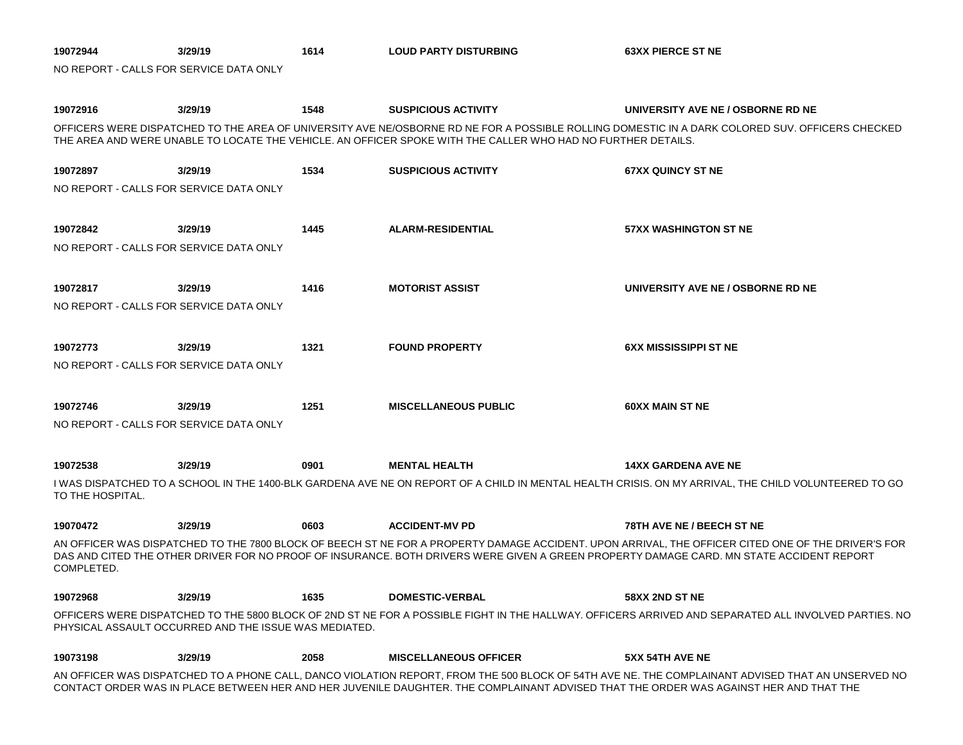| 19072944         | 3/29/19                                               | 1614 | <b>LOUD PARTY DISTURBING</b>                                                                                 | <b>63XX PIERCE ST NE</b>                                                                                                                                                                                                                                                                       |
|------------------|-------------------------------------------------------|------|--------------------------------------------------------------------------------------------------------------|------------------------------------------------------------------------------------------------------------------------------------------------------------------------------------------------------------------------------------------------------------------------------------------------|
|                  | NO REPORT - CALLS FOR SERVICE DATA ONLY               |      |                                                                                                              |                                                                                                                                                                                                                                                                                                |
| 19072916         | 3/29/19                                               | 1548 | <b>SUSPICIOUS ACTIVITY</b>                                                                                   | UNIVERSITY AVE NE / OSBORNE RD NE                                                                                                                                                                                                                                                              |
|                  |                                                       |      | THE AREA AND WERE UNABLE TO LOCATE THE VEHICLE. AN OFFICER SPOKE WITH THE CALLER WHO HAD NO FURTHER DETAILS. | OFFICERS WERE DISPATCHED TO THE AREA OF UNIVERSITY AVE NE/OSBORNE RD NE FOR A POSSIBLE ROLLING DOMESTIC IN A DARK COLORED SUV. OFFICERS CHECKED                                                                                                                                                |
| 19072897         | 3/29/19                                               | 1534 | <b>SUSPICIOUS ACTIVITY</b>                                                                                   | <b>67XX QUINCY ST NE</b>                                                                                                                                                                                                                                                                       |
|                  | NO REPORT - CALLS FOR SERVICE DATA ONLY               |      |                                                                                                              |                                                                                                                                                                                                                                                                                                |
| 19072842         | 3/29/19                                               | 1445 | <b>ALARM-RESIDENTIAL</b>                                                                                     | <b>57XX WASHINGTON ST NE</b>                                                                                                                                                                                                                                                                   |
|                  | NO REPORT - CALLS FOR SERVICE DATA ONLY               |      |                                                                                                              |                                                                                                                                                                                                                                                                                                |
| 19072817         | 3/29/19                                               | 1416 | <b>MOTORIST ASSIST</b>                                                                                       | UNIVERSITY AVE NE / OSBORNE RD NE                                                                                                                                                                                                                                                              |
|                  | NO REPORT - CALLS FOR SERVICE DATA ONLY               |      |                                                                                                              |                                                                                                                                                                                                                                                                                                |
| 19072773         | 3/29/19                                               | 1321 | <b>FOUND PROPERTY</b>                                                                                        | <b>6XX MISSISSIPPI ST NE</b>                                                                                                                                                                                                                                                                   |
|                  | NO REPORT - CALLS FOR SERVICE DATA ONLY               |      |                                                                                                              |                                                                                                                                                                                                                                                                                                |
| 19072746         | 3/29/19                                               | 1251 | <b>MISCELLANEOUS PUBLIC</b>                                                                                  | <b>60XX MAIN ST NE</b>                                                                                                                                                                                                                                                                         |
|                  | NO REPORT - CALLS FOR SERVICE DATA ONLY               |      |                                                                                                              |                                                                                                                                                                                                                                                                                                |
| 19072538         | 3/29/19                                               | 0901 | <b>MENTAL HEALTH</b>                                                                                         | <b>14XX GARDENA AVE NE</b>                                                                                                                                                                                                                                                                     |
| TO THE HOSPITAL. |                                                       |      |                                                                                                              | I WAS DISPATCHED TO A SCHOOL IN THE 1400-BLK GARDENA AVE NE ON REPORT OF A CHILD IN MENTAL HEALTH CRISIS. ON MY ARRIVAL, THE CHILD VOLUNTEERED TO GO                                                                                                                                           |
| 19070472         | 3/29/19                                               | 0603 | <b>ACCIDENT-MV PD</b>                                                                                        | 78TH AVE NE / BEECH ST NE                                                                                                                                                                                                                                                                      |
| COMPLETED.       |                                                       |      |                                                                                                              | AN OFFICER WAS DISPATCHED TO THE 7800 BLOCK OF BEECH ST NE FOR A PROPERTY DAMAGE ACCIDENT. UPON ARRIVAL, THE OFFICER CITED ONE OF THE DRIVER'S FOR<br>DAS AND CITED THE OTHER DRIVER FOR NO PROOF OF INSURANCE. BOTH DRIVERS WERE GIVEN A GREEN PROPERTY DAMAGE CARD. MN STATE ACCIDENT REPORT |
| 19072968         | 3/29/19                                               | 1635 | <b>DOMESTIC-VERBAL</b>                                                                                       | 58XX 2ND ST NE                                                                                                                                                                                                                                                                                 |
|                  | PHYSICAL ASSAULT OCCURRED AND THE ISSUE WAS MEDIATED. |      |                                                                                                              | OFFICERS WERE DISPATCHED TO THE 5800 BLOCK OF 2ND ST NE FOR A POSSIBLE FIGHT IN THE HALLWAY. OFFICERS ARRIVED AND SEPARATED ALL INVOLVED PARTIES. NO                                                                                                                                           |
| 19073198         | 3/29/19                                               | 2058 | <b>MISCELLANEOUS OFFICER</b>                                                                                 | 5XX 54TH AVE NE                                                                                                                                                                                                                                                                                |
|                  |                                                       |      |                                                                                                              | AN OFFICER WAS DISPATCHED TO A PHONE CALL, DANCO VIOLATION REPORT, FROM THE 500 BLOCK OF 54TH AVE NE. THE COMPLAINANT ADVISED THAT AN UNSERVED NO<br>CONTACT ORDER WAS IN PLACE BETWEEN HER AND HER JUVENILE DAUGHTER. THE COMPLAINANT ADVISED THAT THE ORDER WAS AGAINST HER AND THAT THE     |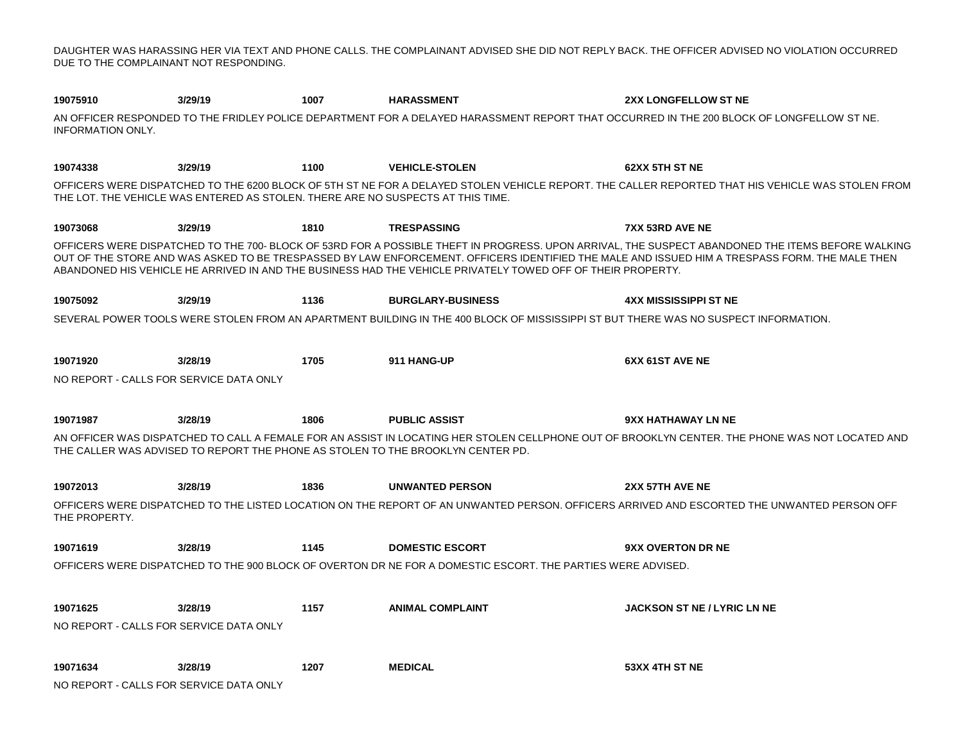DAUGHTER WAS HARASSING HER VIA TEXT AND PHONE CALLS. THE COMPLAINANT ADVISED SHE DID NOT REPLY BACK. THE OFFICER ADVISED NO VIOLATION OCCURRED DUE TO THE COMPLAINANT NOT RESPONDING.

**3/29/19 1007 3/29/19 1100 3/29/19 1810 3/29/19 1136 3/28/19 1705 3/28/19 1806 3/28/19 1836 3/28/19 1145 3/28/19 1157 3/28/19 1207 19075910 HARASSMENT 2XX LONGFELLOW ST NE** AN OFFICER RESPONDED TO THE FRIDLEY POLICE DEPARTMENT FOR A DELAYED HARASSMENT REPORT THAT OCCURRED IN THE 200 BLOCK OF LONGFELLOW ST NE. INFORMATION ONLY. **19074338 VEHICLE-STOLEN 62XX 5TH ST NE** OFFICERS WERE DISPATCHED TO THE 6200 BLOCK OF 5TH ST NE FOR A DELAYED STOLEN VEHICLE REPORT. THE CALLER REPORTED THAT HIS VEHICLE WAS STOLEN FROM THE LOT. THE VEHICLE WAS ENTERED AS STOLEN. THERE ARE NO SUSPECTS AT THIS TIME. **19073068 TRESPASSING 7XX 53RD AVE NE** OFFICERS WERE DISPATCHED TO THE 700- BLOCK OF 53RD FOR A POSSIBLE THEFT IN PROGRESS. UPON ARRIVAL, THE SUSPECT ABANDONED THE ITEMS BEFORE WALKING OUT OF THE STORE AND WAS ASKED TO BE TRESPASSED BY LAW ENFORCEMENT. OFFICERS IDENTIFIED THE MALE AND ISSUED HIM A TRESPASS FORM. THE MALE THEN ABANDONED HIS VEHICLE HE ARRIVED IN AND THE BUSINESS HAD THE VEHICLE PRIVATELY TOWED OFF OF THEIR PROPERTY. **19075092 BURGLARY-BUSINESS 4XX MISSISSIPPI ST NE** SEVERAL POWER TOOLS WERE STOLEN FROM AN APARTMENT BUILDING IN THE 400 BLOCK OF MISSISSIPPI ST BUT THERE WAS NO SUSPECT INFORMATION. **19071920 911 HANG-UP 6XX 61ST AVE NE** NO REPORT - CALLS FOR SERVICE DATA ONLY **19071987 PUBLIC ASSIST 9XX HATHAWAY LN NE** AN OFFICER WAS DISPATCHED TO CALL A FEMALE FOR AN ASSIST IN LOCATING HER STOLEN CELLPHONE OUT OF BROOKLYN CENTER. THE PHONE WAS NOT LOCATED AND THE CALLER WAS ADVISED TO REPORT THE PHONE AS STOLEN TO THE BROOKLYN CENTER PD. **19072013 UNWANTED PERSON 2XX 57TH AVE NE** OFFICERS WERE DISPATCHED TO THE LISTED LOCATION ON THE REPORT OF AN UNWANTED PERSON. OFFICERS ARRIVED AND ESCORTED THE UNWANTED PERSON OFF THE PROPERTY. **19071619 DOMESTIC ESCORT 9XX OVERTON DR NE** OFFICERS WERE DISPATCHED TO THE 900 BLOCK OF OVERTON DR NE FOR A DOMESTIC ESCORT. THE PARTIES WERE ADVISED. **19071625 ANIMAL COMPLAINT JACKSON ST NE / LYRIC LN NE** NO REPORT - CALLS FOR SERVICE DATA ONLY **19071634 MEDICAL 53XX 4TH ST NE** NO REPORT - CALLS FOR SERVICE DATA ONLY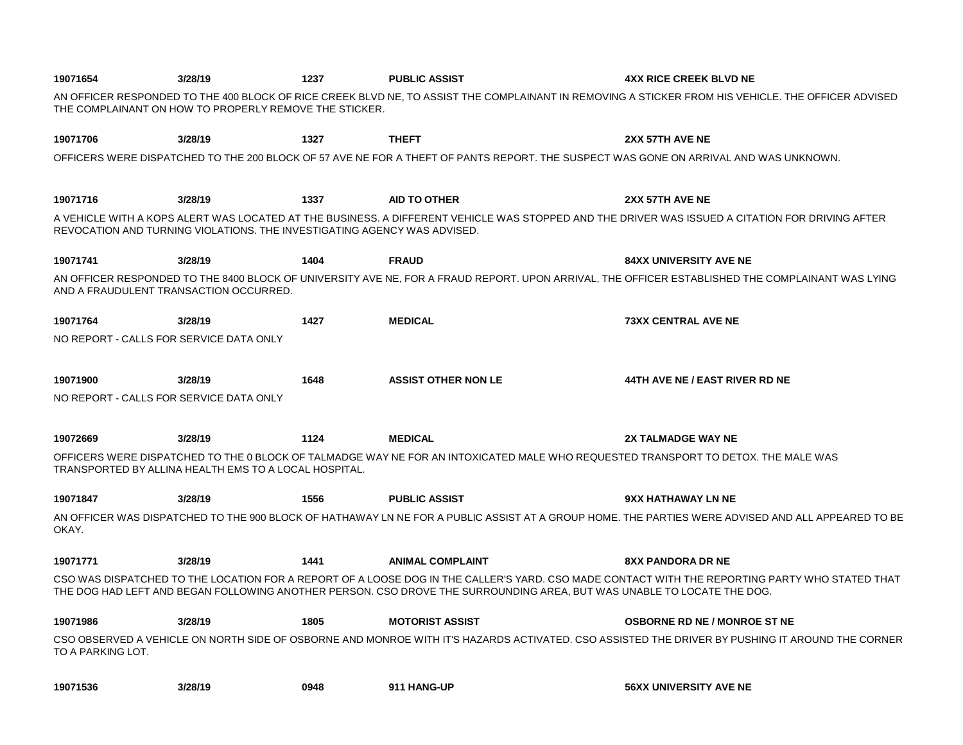| 19071654                                                                                                                                                                                   | 3/28/19                                                                  | 1237 | <b>PUBLIC ASSIST</b>                                                                                                                 | <b>4XX RICE CREEK BLVD NE</b>                                                                                                                      |
|--------------------------------------------------------------------------------------------------------------------------------------------------------------------------------------------|--------------------------------------------------------------------------|------|--------------------------------------------------------------------------------------------------------------------------------------|----------------------------------------------------------------------------------------------------------------------------------------------------|
|                                                                                                                                                                                            | THE COMPLAINANT ON HOW TO PROPERLY REMOVE THE STICKER.                   |      |                                                                                                                                      | AN OFFICER RESPONDED TO THE 400 BLOCK OF RICE CREEK BLVD NE, TO ASSIST THE COMPLAINANT IN REMOVING A STICKER FROM HIS VEHICLE. THE OFFICER ADVISED |
| 19071706                                                                                                                                                                                   | 3/28/19                                                                  | 1327 | <b>THEFT</b>                                                                                                                         | 2XX 57TH AVE NE                                                                                                                                    |
|                                                                                                                                                                                            |                                                                          |      | OFFICERS WERE DISPATCHED TO THE 200 BLOCK OF 57 AVE NE FOR A THEFT OF PANTS REPORT. THE SUSPECT WAS GONE ON ARRIVAL AND WAS UNKNOWN. |                                                                                                                                                    |
| 19071716                                                                                                                                                                                   | 3/28/19                                                                  | 1337 | <b>AID TO OTHER</b>                                                                                                                  | 2XX 57TH AVE NE                                                                                                                                    |
|                                                                                                                                                                                            | REVOCATION AND TURNING VIOLATIONS. THE INVESTIGATING AGENCY WAS ADVISED. |      |                                                                                                                                      | A VEHICLE WITH A KOPS ALERT WAS LOCATED AT THE BUSINESS. A DIFFERENT VEHICLE WAS STOPPED AND THE DRIVER WAS ISSUED A CITATION FOR DRIVING AFTER    |
| 19071741                                                                                                                                                                                   | 3/28/19                                                                  | 1404 | <b>FRAUD</b>                                                                                                                         | <b>84XX UNIVERSITY AVE NE</b>                                                                                                                      |
| AN OFFICER RESPONDED TO THE 8400 BLOCK OF UNIVERSITY AVE NE, FOR A FRAUD REPORT. UPON ARRIVAL, THE OFFICER ESTABLISHED THE COMPLAINANT WAS LYING<br>AND A FRAUDULENT TRANSACTION OCCURRED. |                                                                          |      |                                                                                                                                      |                                                                                                                                                    |
| 19071764                                                                                                                                                                                   | 3/28/19                                                                  | 1427 | <b>MEDICAL</b>                                                                                                                       | <b>73XX CENTRAL AVE NE</b>                                                                                                                         |
| NO REPORT - CALLS FOR SERVICE DATA ONLY                                                                                                                                                    |                                                                          |      |                                                                                                                                      |                                                                                                                                                    |
| 19071900                                                                                                                                                                                   | 3/28/19                                                                  | 1648 | <b>ASSIST OTHER NON LE</b>                                                                                                           | 44TH AVE NE / EAST RIVER RD NE                                                                                                                     |
| NO REPORT - CALLS FOR SERVICE DATA ONLY                                                                                                                                                    |                                                                          |      |                                                                                                                                      |                                                                                                                                                    |
| 19072669                                                                                                                                                                                   | 3/28/19                                                                  | 1124 | <b>MEDICAL</b>                                                                                                                       | <b>2X TALMADGE WAY NE</b>                                                                                                                          |
|                                                                                                                                                                                            | TRANSPORTED BY ALLINA HEALTH EMS TO A LOCAL HOSPITAL.                    |      | OFFICERS WERE DISPATCHED TO THE 0 BLOCK OF TALMADGE WAY NE FOR AN INTOXICATED MALE WHO REQUESTED TRANSPORT TO DETOX. THE MALE WAS    |                                                                                                                                                    |
| 19071847                                                                                                                                                                                   | 3/28/19                                                                  | 1556 | <b>PUBLIC ASSIST</b>                                                                                                                 | <b>9XX HATHAWAY LN NE</b>                                                                                                                          |
| OKAY.                                                                                                                                                                                      |                                                                          |      |                                                                                                                                      | AN OFFICER WAS DISPATCHED TO THE 900 BLOCK OF HATHAWAY LN NE FOR A PUBLIC ASSIST AT A GROUP HOME. THE PARTIES WERE ADVISED AND ALL APPEARED TO BE  |
| 19071771                                                                                                                                                                                   | 3/28/19                                                                  | 1441 | <b>ANIMAL COMPLAINT</b>                                                                                                              | <b>8XX PANDORA DR NE</b>                                                                                                                           |
|                                                                                                                                                                                            |                                                                          |      | THE DOG HAD LEFT AND BEGAN FOLLOWING ANOTHER PERSON. CSO DROVE THE SURROUNDING AREA, BUT WAS UNABLE TO LOCATE THE DOG.               | CSO WAS DISPATCHED TO THE LOCATION FOR A REPORT OF A LOOSE DOG IN THE CALLER'S YARD. CSO MADE CONTACT WITH THE REPORTING PARTY WHO STATED THAT     |
| 19071986                                                                                                                                                                                   | 3/28/19                                                                  | 1805 | <b>MOTORIST ASSIST</b>                                                                                                               | <b>OSBORNE RD NE / MONROE ST NE</b>                                                                                                                |
| TO A PARKING LOT.                                                                                                                                                                          |                                                                          |      |                                                                                                                                      | CSO OBSERVED A VEHICLE ON NORTH SIDE OF OSBORNE AND MONROE WITH IT'S HAZARDS ACTIVATED. CSO ASSISTED THE DRIVER BY PUSHING IT AROUND THE CORNER    |
| 19071536                                                                                                                                                                                   | 3/28/19                                                                  | 0948 | 911 HANG-UP                                                                                                                          | <b>56XX UNIVERSITY AVE NE</b>                                                                                                                      |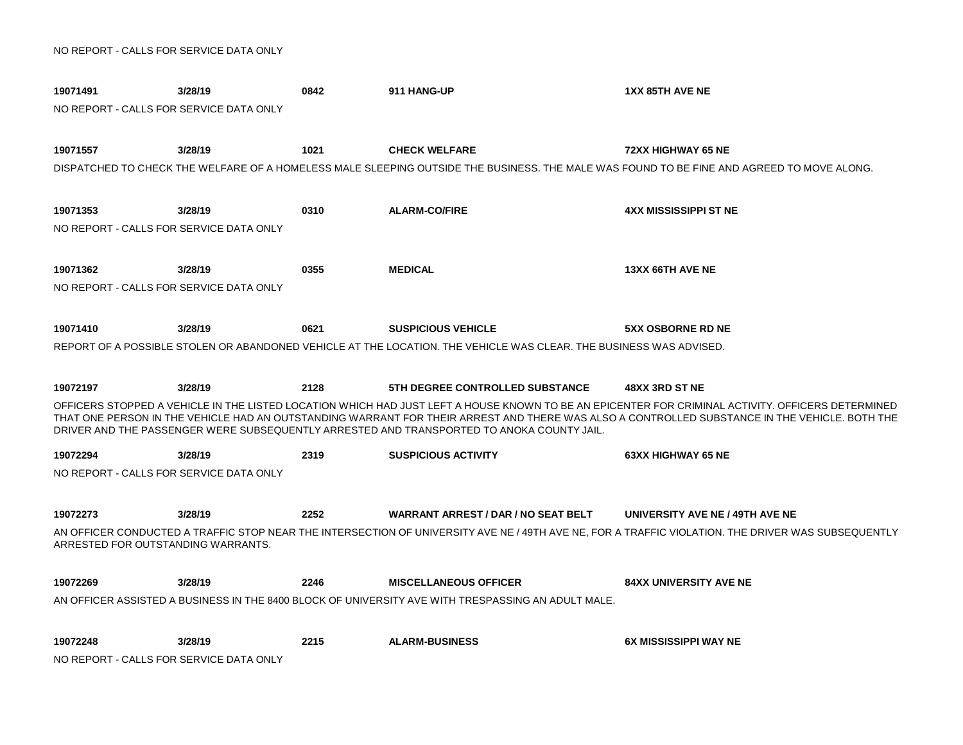| 19071491                                | 3/28/19                                 | 0842 | 911 HANG-UP                                                                                                                        | <b>1XX 85TH AVE NE</b>                                                                                                                                                                                                                                                                             |  |  |
|-----------------------------------------|-----------------------------------------|------|------------------------------------------------------------------------------------------------------------------------------------|----------------------------------------------------------------------------------------------------------------------------------------------------------------------------------------------------------------------------------------------------------------------------------------------------|--|--|
| NO REPORT - CALLS FOR SERVICE DATA ONLY |                                         |      |                                                                                                                                    |                                                                                                                                                                                                                                                                                                    |  |  |
|                                         |                                         |      |                                                                                                                                    |                                                                                                                                                                                                                                                                                                    |  |  |
| 19071557                                | 3/28/19                                 | 1021 | <b>CHECK WELFARE</b>                                                                                                               | <b>72XX HIGHWAY 65 NE</b>                                                                                                                                                                                                                                                                          |  |  |
|                                         |                                         |      |                                                                                                                                    | DISPATCHED TO CHECK THE WELFARE OF A HOMELESS MALE SLEEPING OUTSIDE THE BUSINESS. THE MALE WAS FOUND TO BE FINE AND AGREED TO MOVE ALONG.                                                                                                                                                          |  |  |
|                                         |                                         |      |                                                                                                                                    |                                                                                                                                                                                                                                                                                                    |  |  |
| 19071353                                | 3/28/19                                 | 0310 | <b>ALARM-CO/FIRE</b>                                                                                                               | <b>4XX MISSISSIPPI ST NE</b>                                                                                                                                                                                                                                                                       |  |  |
| NO REPORT - CALLS FOR SERVICE DATA ONLY |                                         |      |                                                                                                                                    |                                                                                                                                                                                                                                                                                                    |  |  |
|                                         |                                         |      |                                                                                                                                    |                                                                                                                                                                                                                                                                                                    |  |  |
| 19071362                                | 3/28/19                                 | 0355 | <b>MEDICAL</b>                                                                                                                     | 13XX 66TH AVE NE                                                                                                                                                                                                                                                                                   |  |  |
|                                         | NO REPORT - CALLS FOR SERVICE DATA ONLY |      |                                                                                                                                    |                                                                                                                                                                                                                                                                                                    |  |  |
|                                         |                                         |      |                                                                                                                                    |                                                                                                                                                                                                                                                                                                    |  |  |
| 19071410                                | 3/28/19                                 | 0621 | <b>SUSPICIOUS VEHICLE</b>                                                                                                          | <b>5XX OSBORNE RD NE</b>                                                                                                                                                                                                                                                                           |  |  |
|                                         |                                         |      | REPORT OF A POSSIBLE STOLEN OR ABANDONED VEHICLE AT THE LOCATION. THE VEHICLE WAS CLEAR. THE BUSINESS WAS ADVISED.                 |                                                                                                                                                                                                                                                                                                    |  |  |
|                                         |                                         |      |                                                                                                                                    |                                                                                                                                                                                                                                                                                                    |  |  |
| 19072197                                | 3/28/19                                 | 2128 | <b>5TH DEGREE CONTROLLED SUBSTANCE</b>                                                                                             | 48XX 3RD ST NE                                                                                                                                                                                                                                                                                     |  |  |
|                                         |                                         |      | DRIVER AND THE PASSENGER WERE SUBSEQUENTLY ARRESTED AND TRANSPORTED TO ANOKA COUNTY JAIL.                                          | OFFICERS STOPPED A VEHICLE IN THE LISTED LOCATION WHICH HAD JUST LEFT A HOUSE KNOWN TO BE AN EPICENTER FOR CRIMINAL ACTIVITY. OFFICERS DETERMINED<br>THAT ONE PERSON IN THE VEHICLE HAD AN OUTSTANDING WARRANT FOR THEIR ARREST AND THERE WAS ALSO A CONTROLLED SUBSTANCE IN THE VEHICLE. BOTH THE |  |  |
|                                         |                                         |      |                                                                                                                                    |                                                                                                                                                                                                                                                                                                    |  |  |
| 19072294                                | 3/28/19                                 | 2319 | <b>SUSPICIOUS ACTIVITY</b>                                                                                                         | <b>63XX HIGHWAY 65 NE</b>                                                                                                                                                                                                                                                                          |  |  |
| NO REPORT - CALLS FOR SERVICE DATA ONLY |                                         |      |                                                                                                                                    |                                                                                                                                                                                                                                                                                                    |  |  |
| 19072273                                | 3/28/19                                 | 2252 | <b>WARRANT ARREST / DAR / NO SEAT BELT</b>                                                                                         | UNIVERSITY AVE NE / 49TH AVE NE                                                                                                                                                                                                                                                                    |  |  |
|                                         |                                         |      |                                                                                                                                    | AN OFFICER CONDUCTED A TRAFFIC STOP NEAR THE INTERSECTION OF UNIVERSITY AVE NE / 49TH AVE NE. FOR A TRAFFIC VIOLATION. THE DRIVER WAS SUBSEQUENTLY                                                                                                                                                 |  |  |
| ARRESTED FOR OUTSTANDING WARRANTS.      |                                         |      |                                                                                                                                    |                                                                                                                                                                                                                                                                                                    |  |  |
|                                         |                                         |      |                                                                                                                                    |                                                                                                                                                                                                                                                                                                    |  |  |
| 19072269                                | 3/28/19                                 | 2246 | <b>MISCELLANEOUS OFFICER</b><br>AN OFFICER ASSISTED A BUSINESS IN THE 8400 BLOCK OF UNIVERSITY AVE WITH TRESPASSING AN ADULT MALE. | <b>84XX UNIVERSITY AVE NE</b>                                                                                                                                                                                                                                                                      |  |  |
|                                         |                                         |      |                                                                                                                                    |                                                                                                                                                                                                                                                                                                    |  |  |
| 19072248                                | 3/28/19                                 | 2215 | <b>ALARM-BUSINESS</b>                                                                                                              | <b>6X MISSISSIPPI WAY NE</b>                                                                                                                                                                                                                                                                       |  |  |
| NO REPORT - CALLS FOR SERVICE DATA ONLY |                                         |      |                                                                                                                                    |                                                                                                                                                                                                                                                                                                    |  |  |